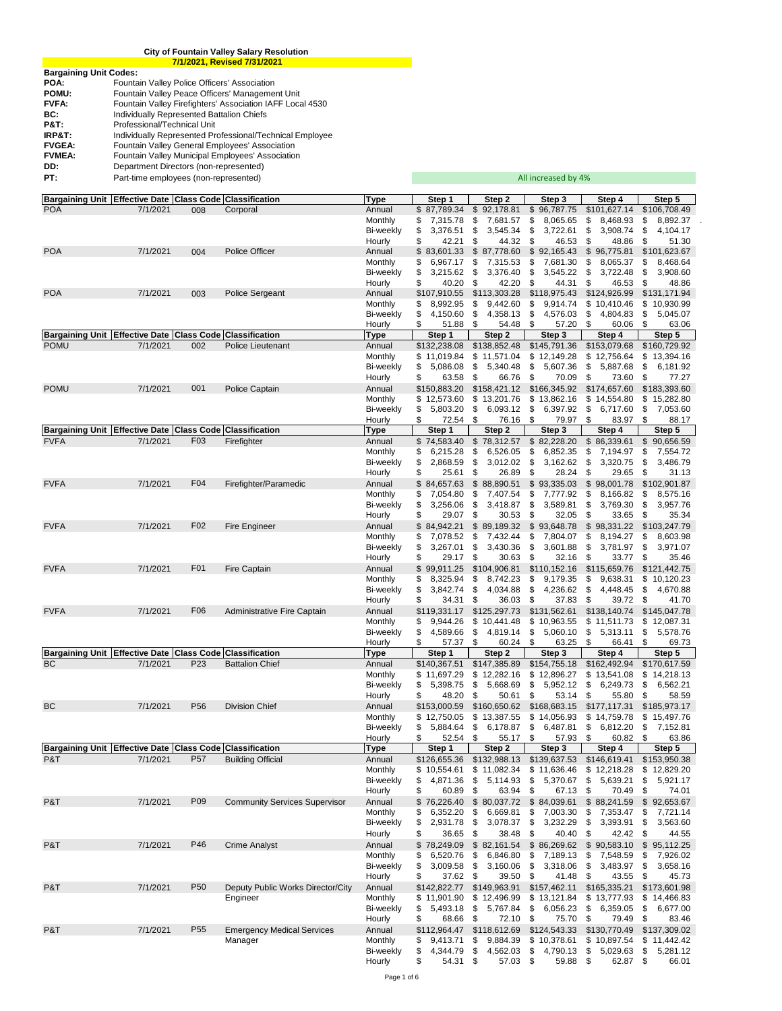|                               | <b>City of Fountain Valley Salary Resolution</b>          |  |  |  |  |  |  |  |  |  |  |
|-------------------------------|-----------------------------------------------------------|--|--|--|--|--|--|--|--|--|--|
|                               | 7/1/2021, Revised 7/31/2021                               |  |  |  |  |  |  |  |  |  |  |
| <b>Bargaining Unit Codes:</b> |                                                           |  |  |  |  |  |  |  |  |  |  |
| POA:                          | Fountain Valley Police Officers' Association              |  |  |  |  |  |  |  |  |  |  |
| POMU:                         | Fountain Valley Peace Officers' Management Unit           |  |  |  |  |  |  |  |  |  |  |
| FVFA:                         | Fountain Valley Firefighters' Association IAFF Local 4530 |  |  |  |  |  |  |  |  |  |  |
| BC:                           | Individually Represented Battalion Chiefs                 |  |  |  |  |  |  |  |  |  |  |
| P&T:                          | Professional/Technical Unit                               |  |  |  |  |  |  |  |  |  |  |
| IRP&T:                        | Individually Represented Professional/Technical Employee  |  |  |  |  |  |  |  |  |  |  |
| <b>FVGEA:</b>                 | Fountain Valley General Employees' Association            |  |  |  |  |  |  |  |  |  |  |
| <b>FVMEA:</b>                 | <b>Fountain Valley Municipal Employees' Association</b>   |  |  |  |  |  |  |  |  |  |  |
| DD:                           | Department Directors (non-represented)                    |  |  |  |  |  |  |  |  |  |  |
| PT:                           | Part-time employees (non-represented)                     |  |  |  |  |  |  |  |  |  |  |

| Bargaining Unit Effective Date Class Code Classification              |          |                  |                                              | <b>Type</b>                 | Step 1                           | Step 2                                                 | Step 3                           | Step 4                           | Step 5                            |
|-----------------------------------------------------------------------|----------|------------------|----------------------------------------------|-----------------------------|----------------------------------|--------------------------------------------------------|----------------------------------|----------------------------------|-----------------------------------|
| <b>POA</b>                                                            | 7/1/2021 | 008              | Corporal                                     | Annual                      | \$87,789.34                      | \$92,178.81                                            | \$96,787.75                      | \$101,627.14                     | \$106,708.49                      |
|                                                                       |          |                  |                                              | Monthly                     | 7,315.78<br>\$                   | \$<br>7,681.57                                         | \$<br>8,065.65                   | \$<br>8,468.93                   | 8,892.37<br>\$                    |
|                                                                       |          |                  |                                              | <b>Bi-weekly</b>            | S<br>3,376.51<br>42.21<br>\$     | \$<br>3,545.34<br>44.32                                | \$<br>3,722.61<br>\$             | \$<br>3,908.74<br>\$             | 4,104.17<br>\$                    |
| <b>POA</b>                                                            | 7/1/2021 | 004              | <b>Police Officer</b>                        | Hourly<br>Annual            | \$83,601.33                      | \$<br>\$87,778.60                                      | 46.53<br>\$92,165.43             | 48.86<br>\$<br>96,775.81         | \$<br>51.30<br>\$101,623.67       |
|                                                                       |          |                  |                                              | Monthly                     | 6,967.17<br>\$                   | 7,315.53<br>\$                                         | \$<br>7,681.30                   | \$<br>8,065.37                   | 8,468.64<br>\$                    |
|                                                                       |          |                  |                                              | <b>Bi-weekly</b>            | \$<br>3,215.62                   | \$<br>3,376.40                                         | \$<br>3,545.22                   | \$<br>3,722.48                   | 3,908.60<br>\$                    |
|                                                                       |          |                  |                                              | Hourly                      | 40.20<br>\$                      | 42.20<br>\$                                            | \$<br>44.31                      | \$<br>46.53                      | 48.86<br>\$                       |
| <b>POA</b>                                                            | 7/1/2021 | 003              | Police Sergeant                              | Annual                      | \$107,910.55                     | \$113,303.28                                           | \$118,975.43                     | \$124,926.99                     | \$131,171.94                      |
|                                                                       |          |                  |                                              | Monthly                     | 8,992.95<br>\$                   | \$<br>9,442.60                                         | \$<br>9,914.74                   | \$<br>10,410.46                  | \$<br>10,930.99                   |
|                                                                       |          |                  |                                              | <b>Bi-weekly</b><br>Hourly  | 4,150.60<br>\$<br>\$<br>51.88    | 4,358.13<br>\$<br>\$<br>54.48                          | \$<br>4,576.03<br>\$<br>57.20    | \$<br>4,804.83<br>\$<br>60.06    | 5,045.07<br>\$<br>\$<br>63.06     |
| Bargaining Unit   Effective Date   Class Code                         |          |                  | <b>Classification</b>                        | <b>Type</b>                 | Step 1                           | Step 2                                                 | Step 3                           | Step 4                           | Step 5                            |
| <b>POMU</b>                                                           | 7/1/2021 | 002              | Police Lieutenant                            | Annual                      | \$132,238.08                     | \$138,852.48                                           | \$145,791.36                     | \$153,079.68                     | \$160,729.92                      |
|                                                                       |          |                  |                                              | Monthly                     | \$11,019.84                      | \$11,571.04                                            | \$12,149.28                      | \$12,756.64                      | \$13,394.16                       |
|                                                                       |          |                  |                                              | <b>Bi-weekly</b>            | \$<br>5,086.08                   | 5,340.48<br>\$                                         | \$<br>5,607.36                   | \$<br>5,887.68                   | 6,181.92<br>\$                    |
|                                                                       |          |                  |                                              | Hourly                      | 63.58<br>\$                      | \$<br>66.76                                            | \$<br>70.09                      | \$<br>73.60                      | \$<br>77.27                       |
| <b>POMU</b>                                                           | 7/1/2021 | 001              | Police Captain                               | Annual                      | \$150,883.20                     | \$158,421.12                                           | \$166,345.92                     | \$174,657.60                     | \$183,393.60                      |
|                                                                       |          |                  |                                              | Monthly                     | \$12,573.60                      | \$13,201.76                                            | \$13,862.16                      | \$<br>14,554.80                  | \$15,282.80                       |
|                                                                       |          |                  |                                              | <b>Bi-weekly</b><br>Hourly  | 5,803.20<br>\$<br>\$<br>72.54    | 6,093.12<br>\$<br>\$<br>76.16                          | 6,397.92<br>\$<br>\$<br>79.97    | \$<br>6,717.60<br>\$<br>83.97    | 7,053.60<br>\$<br>\$<br>88.17     |
| Bargaining Unit   Effective Date   Class Code   Classification        |          |                  |                                              | Type                        | Step 1                           | Step 2                                                 | Step 3                           | Step 4                           | Step 5                            |
| <b>FVFA</b>                                                           | 7/1/2021 | F03              | Firefighter                                  | Annual                      | \$74,583.40                      | \$78,312.57                                            | \$82,228.20                      | \$<br>86,339.61                  | \$<br>90,656.59                   |
|                                                                       |          |                  |                                              | Monthly                     | 6,215.28<br>\$                   | \$<br>6,526.05                                         | \$<br>6,852.35                   | \$<br>7,194.97                   | 7,554.72<br>\$                    |
|                                                                       |          |                  |                                              | <b>Bi-weekly</b>            | 2,868.59<br>\$                   | 3,012.02<br>\$                                         | \$<br>3,162.62                   | \$<br>3,320.75                   | \$<br>3,486.79                    |
|                                                                       |          |                  |                                              | Hourly                      | \$<br>25.61                      | \$<br>26.89                                            | \$<br>28.24                      | \$<br>29.65                      | 31.13<br>S                        |
| <b>FVFA</b>                                                           | 7/1/2021 | F04              | Firefighter/Paramedic                        | Annual                      | \$84,657.63                      | \$88,890.51                                            | \$<br>93,335.03                  | \$<br>98,001.78                  | \$102,901.87                      |
|                                                                       |          |                  |                                              | Monthly<br><b>Bi-weekly</b> | 7,054.80<br>\$<br>\$<br>3,256.06 | \$<br>7,407.54<br>3,418.87                             | \$<br>7,777.92<br>\$<br>3,589.81 | \$<br>8,166.82<br>\$<br>3,769.30 | 8,575.16<br>\$<br>3,957.76        |
|                                                                       |          |                  |                                              | Hourly                      | 29.07<br>\$                      | \$<br>\$<br>30.53                                      | \$<br>32.05                      | \$<br>33.65                      | \$<br>\$<br>35.34                 |
| <b>FVFA</b>                                                           | 7/1/2021 | F <sub>02</sub>  | Fire Engineer                                | Annual                      | \$84,942.21                      | \$89,189.32                                            | \$93,648.78                      | \$98,331.22                      | \$103,247.79                      |
|                                                                       |          |                  |                                              | Monthly                     | 7,078.52<br>\$                   | \$<br>7,432.44                                         | \$<br>7,804.07                   | \$<br>8,194.27                   | 8,603.98<br>\$                    |
|                                                                       |          |                  |                                              | Bi-weekly                   | 3,267.01<br>\$                   | 3,430.36<br>\$                                         | \$<br>3,601.88                   | \$<br>3,781.97                   | \$<br>3,971.07                    |
|                                                                       |          |                  |                                              | Hourly                      | 29.17<br>\$                      | 30.63<br>\$                                            | \$<br>32.16                      | \$<br>33.77                      | \$<br>35.46                       |
| <b>FVFA</b>                                                           | 7/1/2021 | F <sub>0</sub> 1 | <b>Fire Captain</b>                          | Annual                      | \$99,911.25                      | \$104,906.81                                           | \$110,152.16                     | \$115,659.76                     | \$121,442.75                      |
|                                                                       |          |                  |                                              | Monthly                     | 8,325.94<br>\$                   | \$<br>8,742.23                                         | \$<br>9,179.35                   | \$<br>9,638.31                   | \$10,120.23                       |
|                                                                       |          |                  |                                              | <b>Bi-weekly</b><br>Hourly  | 3,842.74<br>\$<br>34.31<br>\$    | 4,034.88<br>\$<br>36.03<br>\$                          | 4,236.62<br>\$<br>\$<br>37.83    | \$<br>4,448.45<br>\$<br>39.72    | 4,670.88<br>\$<br>\$<br>41.70     |
| <b>FVFA</b>                                                           | 7/1/2021 | F <sub>06</sub>  | Administrative Fire Captain                  | Annual                      | \$119,331.17                     | \$125,297.73                                           | \$131,562.61                     | \$138,140.74                     | \$145,047.78                      |
|                                                                       |          |                  |                                              | Monthly                     | 9,944.26<br>\$                   | \$10,441.48                                            | \$10,963.55                      | \$11,511.73                      | \$<br>12,087.31                   |
|                                                                       |          |                  |                                              | <b>Bi-weekly</b>            | 4,589.66<br>\$                   | \$<br>4,819.14                                         | \$<br>5,060.10                   | \$<br>5,313.11                   | 5,578.76<br>\$                    |
|                                                                       |          |                  |                                              | Hourly                      | 57.37<br>\$                      | \$<br>60.24                                            | \$<br>63.25                      | \$<br>66.41                      | 69.73<br>S                        |
| Bargaining Unit Effective Date Class Code                             |          |                  | <b>Classification</b>                        | <b>Type</b>                 | Step 1                           | Step 2                                                 | Step 3                           | Step 4                           | Step 5                            |
| <b>BC</b>                                                             | 7/1/2021 | P <sub>23</sub>  | <b>Battalion Chief</b>                       | Annual<br>Monthly           | \$140,367.51<br>\$11,697.29      | \$147,385.89<br>\$12,282.16                            | \$154,755.18<br>\$12,896.27      | \$162,492.94<br>\$13,541.08      | \$170,617.59<br>14,218.13<br>\$   |
|                                                                       |          |                  |                                              | <b>Bi-weekly</b>            | 5,398.75<br>\$                   | 5,668.69<br>\$                                         | \$<br>5,952.12                   | \$<br>6,249.73                   | 6,562.21<br>\$                    |
|                                                                       |          |                  |                                              | Hourly                      | \$<br>48.20                      | 50.61<br>\$                                            | \$<br>53.14                      | \$<br>55.80                      | 58.59<br>S                        |
| <b>BC</b>                                                             | 7/1/2021 | P <sub>56</sub>  | <b>Division Chief</b>                        | Annual                      | \$153,000.59                     | \$160,650.62                                           | \$168,683.15                     | \$177,117.31                     | \$185,973.17                      |
|                                                                       |          |                  |                                              | Monthly                     | \$12,750.05                      | \$13,387.55                                            | \$14,056.93                      | \$14,759.78                      | \$15,497.76                       |
|                                                                       |          |                  |                                              | <b>Bi-weekly</b>            | 5,884.64<br>\$                   | 6,178.87<br>\$                                         | \$<br>6,487.81                   | \$<br>6,812.20                   | 7,152.81<br>\$                    |
|                                                                       |          |                  |                                              | Hourly                      | 52.54<br>\$                      | \$<br>55.17                                            | \$<br>57.93                      | \$<br>60.82                      | \$<br>63.86                       |
| Bargaining Unit   Effective Date   Class Code   Classification<br>P&T | 7/1/2021 | P <sub>57</sub>  | <b>Building Official</b>                     | Type<br>Annual              | Step 1<br>\$126,655.36           | Step 2<br>\$132,988.13    \$139,637.53    \$146,619.41 | Step 3                           | Step 4                           | Step 5<br>\$153,950.38            |
|                                                                       |          |                  |                                              | Monthly                     | \$10,554.61                      | \$11,082.34                                            | \$11,636.46                      | \$12,218.28                      | \$12,829.20                       |
|                                                                       |          |                  |                                              | Bi-weekly                   | \$<br>4,871.36                   | \$<br>5,114.93                                         | \$<br>5,370.67                   | \$<br>5,639.21                   | 5,921.17<br>\$                    |
|                                                                       |          |                  |                                              | Hourly                      | 60.89<br>\$                      | \$<br>63.94                                            | \$<br>67.13                      | \$<br>70.49                      | \$<br>74.01                       |
| P&T                                                                   | 7/1/2021 | P09              | <b>Community Services Supervisor</b>         | Annual                      | \$76,226.40                      | \$80,037.72 \$84,039.61                                |                                  | \$88,241.59                      | \$92,653.67                       |
|                                                                       |          |                  |                                              | Monthly                     | 6,352.20<br>\$                   | 6,669.81<br>\$                                         | 7,003.30<br>\$                   | \$<br>7,353.47                   | 7,721.14<br>S                     |
|                                                                       |          |                  |                                              | Bi-weekly                   | 2,931.78<br>\$                   | 3,078.37<br>\$                                         | \$<br>3,232.29                   | \$<br>3,393.91                   | 3,563.60<br>\$                    |
|                                                                       |          |                  |                                              | Hourly                      | 36.65<br>\$<br>\$78,249.09       | 38.48<br>\$                                            | 40.40<br>\$<br>$$86,269.62$ \$   | \$<br>42.42                      | 44.55<br>\$                       |
| P&T                                                                   | 7/1/2021 | P46              | <b>Crime Analyst</b>                         | Annual<br>Monthly           | \$<br>6,520.76                   | \$82,161.54<br>\$<br>6,846.80                          | \$<br>7,189.13                   | 90,583.10<br>\$<br>7,548.59      | \$<br>95,112.25<br>\$<br>7,926.02 |
|                                                                       |          |                  |                                              | Bi-weekly                   | 3,009.58<br>\$                   | 3,160.06<br>\$                                         | \$<br>3,318.06                   | \$<br>3,483.97                   | \$<br>3,658.16                    |
|                                                                       |          |                  |                                              | Hourly                      | 37.62 \$<br>\$                   | 39.50                                                  | \$<br>41.48 \$                   | 43.55                            | \$<br>45.73                       |
| P&T                                                                   | 7/1/2021 | P <sub>50</sub>  | Deputy Public Works Director/City            | Annual                      | \$142,822.77                     | \$149,963.91                                           | \$157,462.11                     | \$165,335.21                     | \$173,601.98                      |
|                                                                       |          |                  | Engineer                                     | Monthly                     | \$11,901.90                      | \$12,496.99                                            | \$13,121.84                      | \$13,777.93                      | \$14,466.83                       |
|                                                                       |          |                  |                                              | Bi-weekly                   | 5,493.18<br>\$                   | 5,767.84<br>\$                                         | \$<br>6,056.23                   | \$<br>6,359.05                   | \$<br>6,677.00                    |
|                                                                       |          |                  |                                              | Hourly                      | 68.66<br>\$                      | 72.10<br>\$                                            | 75.70<br>\$                      | \$<br>79.49                      | 83.46<br>\$                       |
| P&T                                                                   | 7/1/2021 | P <sub>55</sub>  | <b>Emergency Medical Services</b><br>Manager | Annual<br>Monthly           | \$112,964.47<br>\$<br>9,413.71   | \$118,612.69<br>9,884.39<br>\$                         | \$124,543.33<br>\$10,378.61      | \$130,770.49<br>\$10,897.54      | \$137,309.02<br>\$11,442.42       |
|                                                                       |          |                  |                                              | <b>Bi-weekly</b>            | 4,344.79<br>\$                   | \$<br>4,562.03                                         | \$<br>4,790.13                   | \$<br>5,029.63                   | \$<br>5,281.12                    |
|                                                                       |          |                  |                                              | Hourly                      | 54.31<br>\$                      | 57.03 \$<br>\$                                         | 59.88 \$                         | 62.87                            | \$<br>66.01                       |
|                                                                       |          |                  |                                              |                             |                                  |                                                        |                                  |                                  |                                   |

All increased by 4%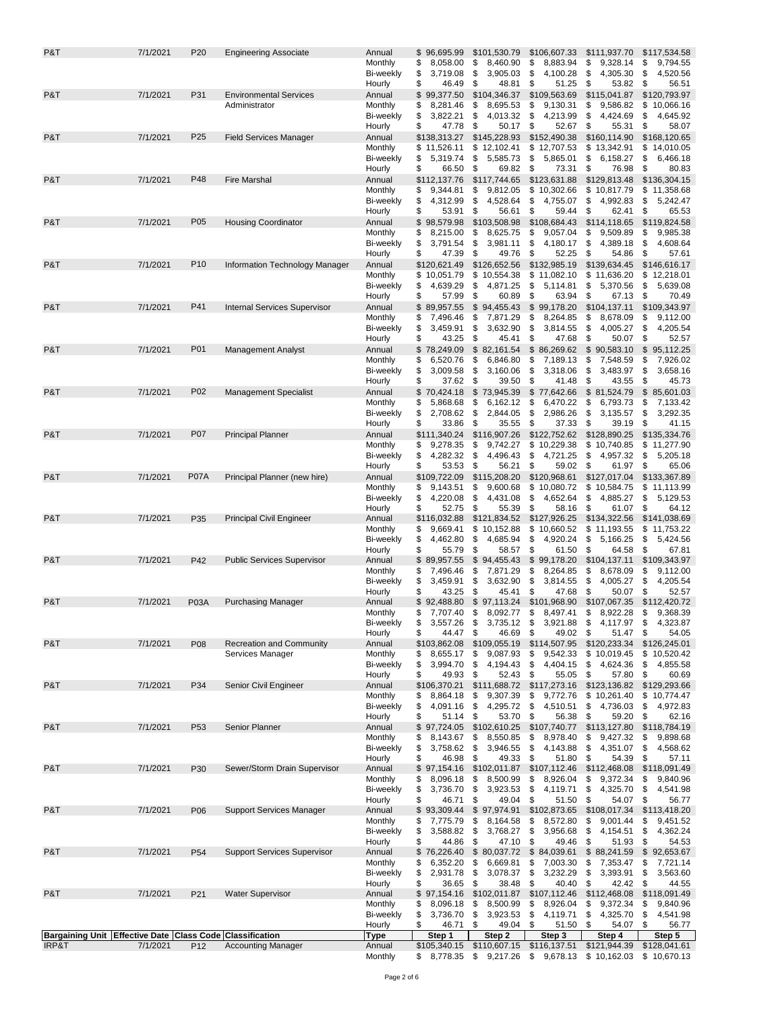| P&T              | 7/1/2021 | P20             | <b>Engineering Associate</b>                                                          | Annual                      | \$96,695.99                      | \$101,530.79                      | \$106,607.33                      | \$111,937.70                   | \$117,534.58                      |
|------------------|----------|-----------------|---------------------------------------------------------------------------------------|-----------------------------|----------------------------------|-----------------------------------|-----------------------------------|--------------------------------|-----------------------------------|
|                  |          |                 |                                                                                       | Monthly                     | \$<br>8,058.00                   | \$<br>8,460.90                    | \$<br>8,883.94                    | \$<br>9,328.14                 | \$<br>9,794.55                    |
|                  |          |                 |                                                                                       | <b>Bi-weekly</b><br>Hourly  | \$<br>3,719.08<br>\$<br>46.49    | \$<br>3,905.03<br>\$<br>48.81     | \$<br>4,100.28<br>\$<br>51.25     | \$<br>4,305.30<br>\$<br>53.82  | \$<br>4,520.56<br>\$<br>56.51     |
| P&T              | 7/1/2021 | P31             | <b>Environmental Services</b>                                                         | Annual                      | \$99,377.50                      | \$104,346.37                      | \$109,563.69                      | \$115,041.87                   | \$120,793.97                      |
|                  |          |                 | Administrator                                                                         | Monthly                     | 8,281.46<br>\$                   | \$<br>8,695.53                    | \$<br>9,130.31                    | \$<br>9,586.82                 | \$10,066.16                       |
|                  |          |                 |                                                                                       | Bi-weekly                   | \$<br>3,822.21                   | \$<br>4,013.32                    | \$<br>4,213.99                    | 4,424.69<br>\$                 | \$<br>4,645.92                    |
| P&T              | 7/1/2021 | P <sub>25</sub> | <b>Field Services Manager</b>                                                         | Hourly<br>Annual            | \$<br>47.78<br>\$138,313.27      | \$<br>50.17<br>\$145,228.93       | \$<br>52.67<br>\$152,490.38       | \$<br>55.31<br>\$160,114.90    | \$<br>58.07<br>\$168,120.65       |
|                  |          |                 |                                                                                       | Monthly                     | \$11,526.11                      | \$12,102.41                       | \$12,707.53                       | \$13,342.91                    | \$14,010.05                       |
|                  |          |                 |                                                                                       | <b>Bi-weekly</b>            | \$<br>5,319.74                   | \$<br>5,585.73                    | \$<br>5,865.01                    | 6,158.27<br>\$                 | \$<br>6,466.18                    |
|                  |          |                 |                                                                                       | Hourly                      | \$<br>66.50                      | \$<br>69.82                       | \$<br>73.31                       | 76.98<br>\$                    | \$<br>80.83                       |
| P&T              | 7/1/2021 | P48             | <b>Fire Marshal</b>                                                                   | Annual                      | \$112,137.76                     | \$117,744.65                      | \$123,631.88                      | \$129,813.48                   | \$136,304.15                      |
|                  |          |                 |                                                                                       | Monthly<br>Bi-weekly        | \$<br>9,344.81<br>4,312.99<br>\$ | \$<br>9,812.05<br>\$<br>4,528.64  | \$10,302.66<br>\$<br>4,755.07     | \$10,817.79<br>\$<br>4,992.83  | \$11,358.68<br>\$<br>5,242.47     |
|                  |          |                 |                                                                                       | Hourly                      | \$<br>53.91                      | \$<br>56.61                       | \$<br>59.44                       | \$<br>62.41                    | \$<br>65.53                       |
| P&T              | 7/1/2021 | P05             | <b>Housing Coordinator</b>                                                            | Annual                      | \$98,579.98                      | \$103,508.98                      | \$108,684.43                      | \$114,118.65                   | \$119,824.58                      |
|                  |          |                 |                                                                                       | Monthly                     | 8,215.00<br>\$                   | 8,625.75<br>\$                    | \$<br>9,057.04                    | 9,509.89<br>\$                 | \$<br>9,985.38                    |
|                  |          |                 |                                                                                       | Bi-weekly<br>Hourly         | \$<br>3,791.54<br>\$<br>47.39    | \$<br>3,981.11<br>\$<br>49.76     | \$<br>4,180.17<br>\$<br>52.25     | \$<br>4,389.18<br>\$<br>54.86  | \$<br>4,608.64<br>\$<br>57.61     |
| P&T              | 7/1/2021 | P <sub>10</sub> | Information Technology Manager                                                        | Annual                      | \$120,621.49                     | \$126,652.56                      | \$132,985.19                      | \$139,634.45                   | \$146,616.17                      |
|                  |          |                 |                                                                                       | Monthly                     | \$10,051.79                      | \$10,554.38                       | \$11,082.10                       | \$11,636.20                    | \$12,218.01                       |
|                  |          |                 |                                                                                       | Bi-weekly                   | 4,639.29<br>\$                   | \$<br>4,871.25                    | \$<br>5,114.81                    | \$<br>5,370.56                 | \$<br>5,639.08                    |
|                  |          |                 |                                                                                       | Hourly                      | \$<br>57.99                      | \$<br>60.89                       | \$<br>63.94                       | \$<br>67.13                    | \$<br>70.49                       |
| P&T              | 7/1/2021 | P41             | <b>Internal Services Supervisor</b>                                                   | Annual<br>Monthly           | \$89,957.55<br>7,496.46<br>\$    | \$<br>94,455.43<br>\$<br>7,871.29 | \$<br>99,178.20<br>8,264.85<br>\$ | \$104,137.11<br>\$<br>8,678.09 | \$109,343.97<br>\$<br>9,112.00    |
|                  |          |                 |                                                                                       | <b>Bi-weekly</b>            | \$<br>3,459.91                   | \$<br>3,632.90                    | \$<br>3,814.55                    | \$<br>4,005.27                 | \$<br>4,205.54                    |
|                  |          |                 |                                                                                       | Hourly                      | \$<br>43.25                      | \$<br>45.41                       | \$<br>47.68                       | \$<br>50.07                    | \$<br>52.57                       |
| P&T              | 7/1/2021 | P01             | <b>Management Analyst</b>                                                             | Annual                      | \$78,249.09                      | \$82,161.54                       | \$<br>86,269.62                   | \$90,583.10                    | \$95,112.25                       |
|                  |          |                 |                                                                                       | Monthly                     | \$<br>6,520.76                   | \$<br>6,846.80                    | \$<br>7,189.13                    | \$<br>7,548.59                 | 7,926.02<br>\$                    |
|                  |          |                 |                                                                                       | Bi-weekly<br>Hourly         | \$<br>3,009.58<br>\$<br>37.62    | \$<br>3,160.06<br>\$<br>39.50     | \$<br>3,318.06<br>\$<br>41.48     | 3,483.97<br>\$<br>\$<br>43.55  | \$<br>3,658.16<br>\$<br>45.73     |
| P&T              | 7/1/2021 | P02             | <b>Management Specialist</b>                                                          | Annual                      | \$70,424.18                      | \$73,945.39                       | \$<br>77,642.66                   | \$81,524.79                    | \$<br>85,601.03                   |
|                  |          |                 |                                                                                       | Monthly                     | \$<br>5,868.68                   | \$<br>6,162.12                    | \$<br>6,470.22                    | \$<br>6,793.73                 | \$<br>7,133.42                    |
|                  |          |                 |                                                                                       | <b>Bi-weekly</b>            | \$<br>2,708.62                   | \$<br>2,844.05                    | \$<br>2,986.26                    | \$<br>3,135.57                 | \$<br>3,292.35                    |
| P&T              | 7/1/2021 | P07             |                                                                                       | Hourly                      | \$<br>33.86                      | \$<br>35.55                       | \$<br>37.33                       | 39.19<br>\$                    | \$<br>41.15                       |
|                  |          |                 | <b>Principal Planner</b>                                                              | Annual<br>Monthly           | \$111,340.24<br>\$<br>9,278.35   | \$116,907.26<br>\$<br>9,742.27    | \$122,752.62<br>\$10,229.38       | \$128,890.25<br>\$10,740.85    | \$135,334.76<br>\$<br>11,277.90   |
|                  |          |                 |                                                                                       | <b>Bi-weekly</b>            | \$<br>4,282.32                   | \$<br>4,496.43                    | \$<br>4,721.25                    | 4,957.32<br>\$                 | \$<br>5,205.18                    |
|                  |          |                 |                                                                                       | Hourly                      | \$<br>53.53                      | \$<br>56.21                       | \$<br>59.02                       | 61.97<br>\$                    | \$<br>65.06                       |
| P&T              | 7/1/2021 | <b>P07A</b>     | Principal Planner (new hire)                                                          | Annual                      | \$109,722.09                     | \$115,208.20                      | \$120,968.61                      | \$127,017.04                   | \$133,367.89                      |
|                  |          |                 |                                                                                       | Monthly<br><b>Bi-weekly</b> | \$<br>9,143.51<br>\$<br>4,220.08 | \$<br>9,600.68<br>\$<br>4,431.08  | \$10,080.72<br>\$<br>4,652.64     | \$10,584.75<br>\$<br>4,885.27  | \$<br>11,113.99<br>\$<br>5,129.53 |
|                  |          |                 |                                                                                       | Hourly                      | \$<br>52.75                      | \$<br>55.39                       | \$<br>58.16                       | \$<br>61.07                    | \$<br>64.12                       |
| P&T              | 7/1/2021 | P35             | <b>Principal Civil Engineer</b>                                                       | Annual                      | \$116,032.88                     | \$121,834.52                      | \$127,926.25                      | \$134,322.56                   | \$141,038.69                      |
|                  |          |                 |                                                                                       | Monthly                     | \$<br>9,669.41                   | \$10,152.88                       | \$10,660.52                       | \$11,193.55                    | \$11,753.22                       |
|                  |          |                 |                                                                                       | Bi-weekly                   | \$<br>4,462.80<br>\$<br>55.79    | 4,685.94<br>\$<br>\$<br>58.57     | \$<br>4,920.24<br>\$<br>61.50     | \$<br>5,166.25<br>\$<br>64.58  | \$<br>5,424.56<br>\$<br>67.81     |
| P&T              | 7/1/2021 | P42             | <b>Public Services Supervisor</b>                                                     | Hourly<br>Annual            | \$89,957.55                      | \$<br>94,455.43                   | \$<br>99,178.20                   | \$104,137.11                   | \$109,343.97                      |
|                  |          |                 |                                                                                       | Monthly                     | 7,496.46<br>\$                   | \$<br>7,871.29                    | \$<br>8,264.85                    | \$<br>8,678.09                 | \$<br>9,112.00                    |
|                  |          |                 |                                                                                       | Bi-weekly                   | \$<br>3,459.91                   | \$<br>3,632.90                    | \$<br>3,814.55                    | 4,005.27<br>\$                 | \$<br>4,205.54                    |
| P&T              | 7/1/2021 |                 |                                                                                       | Hourly                      | \$<br>43.25                      | \$<br>45.41<br>\$97,113.24        | \$<br>47.68<br>\$101,968.90       | \$<br>50.07<br>\$107,067.35    | \$<br>52.57<br>\$112,420.72       |
|                  |          | <b>P03A</b>     | <b>Purchasing Manager</b>                                                             | Annual<br>Monthly           | \$92,488.80<br>\$<br>7,707.40    | \$<br>8,092.77                    | \$<br>8,497.41                    | \$<br>8,922.28                 | \$<br>9,368.39                    |
|                  |          |                 |                                                                                       | Bi-weekly                   | 3,557.26<br>\$                   | \$<br>3,735.12                    | 3,921.88<br>\$                    | 4,117.97<br>\$                 | \$<br>4,323.87                    |
|                  |          |                 |                                                                                       | Hourly                      | \$<br>44.47                      | \$<br>46.69                       | \$<br>49.02                       | \$<br>51.47                    | \$<br>54.05                       |
| P&T              | 7/1/2021 | P08             | <b>Recreation and Community</b>                                                       | Annual                      | \$103,862.08                     | \$109,055.19                      | \$114,507.95                      | \$120,233.34                   | \$126,245.01                      |
|                  |          |                 | Services Manager                                                                      | Monthly<br>Bi-weekly        | 8,655.17<br>\$<br>3,994.70<br>\$ | \$<br>9,087.93<br>\$<br>4,194.43  | \$<br>9,542.33<br>\$<br>4,404.15  | \$10,019.45<br>\$<br>4,624.36  | \$10,520.42<br>\$<br>4,855.58     |
|                  |          |                 |                                                                                       | Hourly                      | \$<br>49.93                      | \$<br>52.43                       | \$<br>55.05                       | \$<br>57.80                    | \$<br>60.69                       |
| P&T              | 7/1/2021 | P34             | Senior Civil Engineer                                                                 | Annual                      | \$106,370.21                     | \$111,688.72 \$117,273.16         |                                   | \$123,136.82                   | \$129,293.66                      |
|                  |          |                 |                                                                                       | Monthly                     | \$<br>8,864.18                   | 9,307.39<br>\$                    | \$<br>9,772.76                    | \$10,261.40                    | \$10,774.47                       |
|                  |          |                 |                                                                                       | Bi-weekly<br>Hourly         | 4,091.16<br>\$<br>\$<br>51.14    | \$<br>4,295.72<br>\$<br>53.70     | \$<br>4,510.51<br>\$<br>56.38     | \$<br>4,736.03<br>59.20<br>\$  | \$<br>4,972.83<br>\$<br>62.16     |
| P&T              | 7/1/2021 | P <sub>53</sub> | Senior Planner                                                                        | Annual                      | \$97,724.05                      | \$102,610.25                      | \$107,740.77                      | \$113,127.80                   | \$118,784.19                      |
|                  |          |                 |                                                                                       | Monthly                     | 8,143.67<br>\$                   | \$<br>8,550.85                    | \$<br>8,978.40                    | 9,427.32<br>\$                 | \$<br>9,898.68                    |
|                  |          |                 |                                                                                       | <b>Bi-weekly</b>            | \$<br>3,758.62                   | \$<br>3,946.55                    | \$<br>4,143.88                    | \$<br>4,351.07                 | \$<br>4,568.62                    |
| P&T              | 7/1/2021 | P30             | Sewer/Storm Drain Supervisor                                                          | Hourly<br>Annual            | \$<br>46.98<br>\$97,154.16       | \$<br>49.33<br>\$102,011.87       | \$<br>51.80<br>\$107,112.46       | 54.39<br>\$<br>\$112,468.08    | \$<br>57.11<br>\$118,091.49       |
|                  |          |                 |                                                                                       | Monthly                     | \$<br>8,096.18                   | \$<br>8,500.99                    | \$<br>8,926.04                    | \$<br>9,372.34                 | \$<br>9,840.96                    |
|                  |          |                 |                                                                                       | Bi-weekly                   | \$<br>3,736.70                   | \$<br>3,923.53                    | \$<br>4,119.71                    | 4,325.70<br>\$                 | \$<br>4,541.98                    |
|                  |          |                 |                                                                                       | Hourly                      | \$<br>46.71                      | \$<br>49.04                       | -\$<br>51.50                      | \$<br>54.07                    | \$<br>56.77                       |
| P&T              | 7/1/2021 | P06             | <b>Support Services Manager</b>                                                       | Annual                      | \$93,309.44                      | \$97,974.91                       | \$102,873.65                      | \$108,017.34<br>\$             | \$113,418.20                      |
|                  |          |                 |                                                                                       | Monthly<br>Bi-weekly        | \$<br>7,775.79<br>\$<br>3,588.82 | \$<br>8,164.58<br>\$<br>3,768.27  | \$<br>8,572.80<br>\$<br>3,956.68  | 9,001.44<br>4,154.51<br>\$     | \$<br>9,451.52<br>4,362.24<br>\$  |
|                  |          |                 |                                                                                       | Hourly                      | 44.86<br>\$                      | \$<br>47.10 \$                    | 49.46                             | 51.93<br>\$                    | 54.53<br>\$                       |
| P&T              | 7/1/2021 | P <sub>54</sub> | <b>Support Services Supervisor</b>                                                    | Annual                      | \$76,226.40                      | $$80,037.72$ \$                   | 84,039.61                         | \$88,241.59                    | \$<br>92,653.67                   |
|                  |          |                 |                                                                                       | Monthly                     | \$<br>6,352.20                   | \$<br>6,669.81                    | \$<br>7,003.30                    | \$<br>7,353.47                 | \$<br>7,721.14                    |
|                  |          |                 |                                                                                       | <b>Bi-weekly</b><br>Hourly  | \$<br>2,931.78<br>\$<br>36.65    | \$<br>3,078.37<br>\$<br>38.48     | \$<br>3,232.29<br>\$<br>40.40     | 3,393.91<br>\$<br>42.42<br>\$  | \$<br>3,563.60<br>\$<br>44.55     |
| P&T              | 7/1/2021 | P21             | <b>Water Supervisor</b>                                                               | Annual                      | \$97,154.16                      | \$102,011.87 \$107,112.46         |                                   | \$112,468.08                   | \$118,091.49                      |
|                  |          |                 |                                                                                       | Monthly                     | 8,096.18<br>\$                   | \$<br>8,500.99                    | \$<br>8,926.04                    | \$<br>9,372.34                 | \$<br>9,840.96                    |
|                  |          |                 |                                                                                       | Bi-weekly                   | 3,736.70<br>\$                   | \$<br>3,923.53                    | - \$<br>4,119.71                  | 4,325.70<br>\$                 | \$<br>4,541.98                    |
|                  |          |                 |                                                                                       |                             |                                  |                                   |                                   |                                |                                   |
|                  |          |                 |                                                                                       | Hourly                      | \$<br>46.71                      | \$<br>49.04                       | \$<br>51.50                       | 54.07<br>\$                    | \$<br>56.77                       |
| <b>IRP&amp;T</b> | 7/1/2021 | P <sub>12</sub> | Bargaining Unit Effective Date Class Code Classification<br><b>Accounting Manager</b> | <b>Type</b><br>Annual       | Step 1<br>\$105,340.15           | Step 2<br>\$110,607.15            | Step 3<br>\$116,137.51            | Step 4<br>\$121,944.39         | Step 5<br>\$128,041.61            |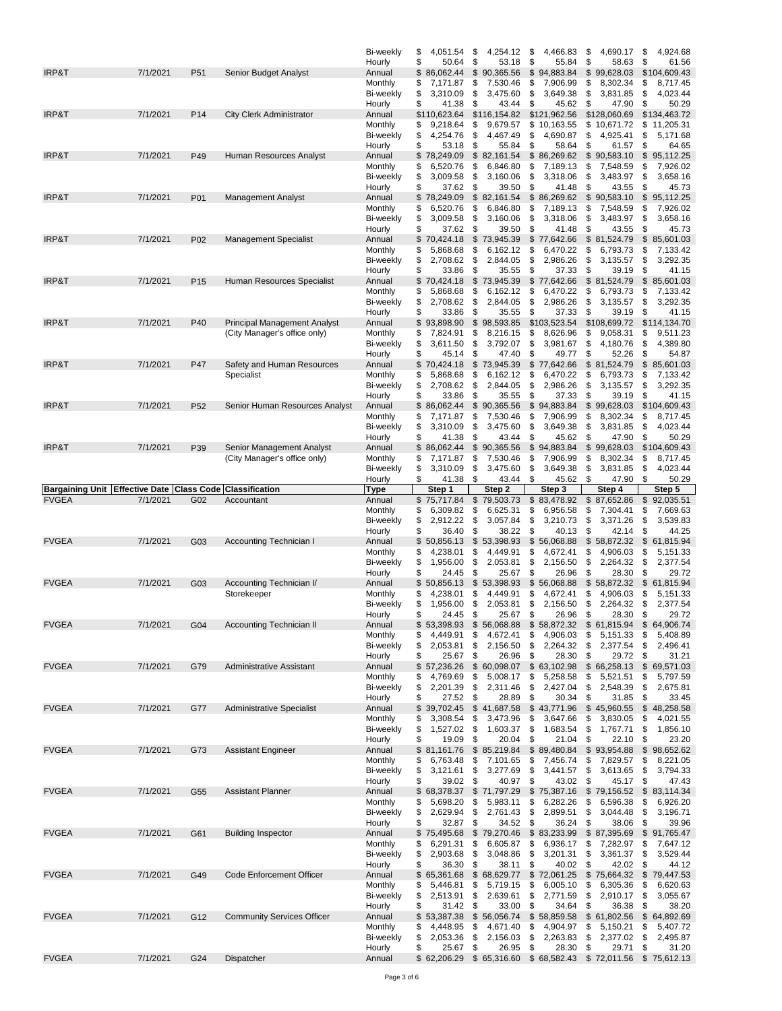|                                        |                                   |                 |                                                                     | Bi-weekly                   | \$<br>4.051.54                    | \$<br>4,254.12                            | 4,466.83<br>\$                    | \$<br>4,690.17                                                 | \$<br>4,924.68                    |
|----------------------------------------|-----------------------------------|-----------------|---------------------------------------------------------------------|-----------------------------|-----------------------------------|-------------------------------------------|-----------------------------------|----------------------------------------------------------------|-----------------------------------|
| <b>IRP&amp;T</b>                       | 7/1/2021                          | P <sub>51</sub> | Senior Budget Analyst                                               | Hourly<br>Annual            | \$<br>50.64<br>\$86,062.44        | \$<br>53.18<br>\$90,365.56                | \$<br>55.84<br>94,883.84<br>\$    | \$<br>58.63<br>\$99,628.03                                     | \$<br>61.56<br>\$104,609.43       |
|                                        |                                   |                 |                                                                     | Monthly                     | \$<br>7,171.87                    | \$<br>7,530.46                            | \$<br>7,906.99                    | \$<br>8,302.34                                                 | \$<br>8,717.45                    |
|                                        |                                   |                 |                                                                     | Bi-weekly                   | \$<br>3,310.09                    | \$<br>3,475.60                            | \$<br>3,649.38                    | \$<br>3,831.85                                                 | \$<br>4,023.44                    |
| IRP&T                                  | 7/1/2021                          | P <sub>14</sub> | <b>City Clerk Administrator</b>                                     | Hourly<br>Annual            | \$<br>41.38<br>\$110,623.64       | \$<br>43.44<br>\$116,154.82               | \$<br>45.62<br>\$121,962.56       | \$<br>47.90<br>\$128,060.69                                    | \$<br>50.29<br>\$134,463.72       |
|                                        |                                   |                 |                                                                     | Monthly                     | \$<br>9,218.64                    | \$<br>9,679.57                            | \$10,163.55                       | \$10,671.72                                                    | \$<br>11,205.31                   |
|                                        |                                   |                 |                                                                     | <b>Bi-weekly</b>            | \$<br>4,254.76                    | \$<br>4,467.49                            | \$<br>4,690.87                    | \$<br>4,925.41                                                 | \$<br>5,171.68                    |
| IRP&T                                  | 7/1/2021                          | P49             | Human Resources Analyst                                             | Hourly<br>Annual            | \$<br>53.18<br>\$78,249.09        | \$<br>55.84<br>\$82,161.54                | \$<br>58.64<br>\$<br>86,269.62    | \$<br>61.57<br>\$90,583.10                                     | \$<br>64.65<br>\$<br>95,112.25    |
|                                        |                                   |                 |                                                                     | Monthly                     | \$<br>6,520.76                    | \$<br>6,846.80                            | \$<br>7,189.13                    | \$<br>7,548.59                                                 | \$<br>7,926.02                    |
|                                        |                                   |                 |                                                                     | Bi-weekly                   | \$<br>3,009.58                    | \$<br>3,160.06                            | \$<br>3,318.06                    | \$<br>3,483.97                                                 | \$<br>3,658.16                    |
| IRP&T                                  | 7/1/2021                          | P01             | <b>Management Analyst</b>                                           | Hourly<br>Annual            | \$<br>37.62<br>\$78,249.09        | \$<br>39.50<br>\$<br>82,161.54            | \$<br>41.48<br>\$<br>86,269.62    | \$<br>43.55<br>\$90,583.10                                     | \$<br>45.73<br>\$<br>95,112.25    |
|                                        |                                   |                 |                                                                     | Monthly                     | 6,520.76<br>\$                    | \$<br>6,846.80                            | \$<br>7,189.13                    | \$<br>7,548.59                                                 | \$<br>7,926.02                    |
|                                        |                                   |                 |                                                                     | Bi-weekly                   | \$<br>3,009.58                    | \$<br>3,160.06                            | \$<br>3,318.06                    | \$<br>3,483.97                                                 | \$<br>3,658.16                    |
| IRP&T                                  | 7/1/2021                          | P02             |                                                                     | Hourly<br>Annual            | \$<br>37.62<br>\$<br>70,424.18    | \$<br>39.50<br>\$<br>73,945.39            | \$<br>41.48<br>\$<br>77,642.66    | \$<br>43.55<br>\$81,524.79                                     | \$<br>45.73<br>\$<br>85,601.03    |
|                                        |                                   |                 | <b>Management Specialist</b>                                        | Monthly                     | \$<br>5,868.68                    | \$<br>6,162.12                            | \$<br>6,470.22                    | \$<br>6,793.73                                                 | \$<br>7,133.42                    |
|                                        |                                   |                 |                                                                     | <b>Bi-weekly</b>            | \$<br>2,708.62                    | \$<br>2,844.05                            | \$<br>2,986.26                    | \$<br>3,135.57                                                 | \$<br>3,292.35                    |
|                                        | 7/1/2021                          |                 |                                                                     | Hourly                      | \$<br>33.86                       | \$<br>35.55                               | \$<br>37.33                       | \$<br>39.19                                                    | \$<br>41.15                       |
| IRP&T                                  |                                   | P <sub>15</sub> | Human Resources Specialist                                          | Annual<br>Monthly           | \$70,424.18<br>5,868.68<br>\$     | \$<br>73,945.39<br>\$<br>6,162.12         | \$<br>77,642.66<br>\$<br>6,470.22 | \$81,524.79<br>\$<br>6,793.73                                  | \$<br>85,601.03<br>\$<br>7,133.42 |
|                                        |                                   |                 |                                                                     | Bi-weekly                   | \$<br>2,708.62                    | \$<br>2,844.05                            | \$<br>2,986.26                    | \$<br>3,135.57                                                 | \$<br>3,292.35                    |
|                                        |                                   |                 |                                                                     | Hourly                      | \$<br>33.86                       | \$<br>35.55                               | \$<br>37.33                       | 39.19<br>\$                                                    | \$<br>41.15                       |
| IRP&T                                  | 7/1/2021                          | P40             | <b>Principal Management Analyst</b><br>(City Manager's office only) | Annual<br>Monthly           | \$<br>93,898.90<br>\$<br>7,824.91 | \$<br>98,593.85<br>\$<br>8,216.15         | \$103,523.54<br>\$<br>8,626.96    | \$108,699.72<br>\$<br>9,058.31                                 | \$114,134.70<br>\$<br>9,511.23    |
|                                        |                                   |                 |                                                                     | <b>Bi-weekly</b>            | \$<br>3,611.50                    | \$<br>3,792.07                            | \$<br>3,981.67                    | \$<br>4,180.76                                                 | \$<br>4,389.80                    |
|                                        |                                   |                 |                                                                     | Hourly                      | \$<br>45.14                       | \$<br>47.40                               | \$<br>49.77                       | \$<br>52.26                                                    | \$<br>54.87                       |
| <b>IRP&amp;T</b>                       | 7/1/2021                          | P47             | Safety and Human Resources<br>Specialist                            | Annual<br>Monthly           | \$70,424.18<br>\$<br>5,868.68     | \$<br>73,945.39<br>6,162.12<br>\$         | \$<br>77,642.66<br>\$<br>6,470.22 | \$81,524.79<br>\$<br>6,793.73                                  | \$85,601.03<br>\$<br>7,133.42     |
|                                        |                                   |                 |                                                                     | <b>Bi-weekly</b>            | \$<br>2,708.62                    | \$<br>2,844.05                            | 2,986.26<br>\$                    | \$<br>3,135.57                                                 | \$<br>3,292.35                    |
|                                        |                                   |                 |                                                                     | Hourly                      | \$<br>33.86                       | \$<br>35.55                               | \$<br>37.33                       | \$<br>39.19                                                    | \$<br>41.15                       |
| <b>IRP&amp;T</b>                       | 7/1/2021                          | P <sub>52</sub> | Senior Human Resources Analyst                                      | Annual<br>Monthly           | \$86,062.44<br>\$<br>7,171.87     | 90,365.56<br>\$<br>\$<br>7,530.46         | \$<br>94,883.84<br>\$<br>7,906.99 | \$99,628.03<br>\$<br>8,302.34                                  | \$104,609.43<br>\$<br>8,717.45    |
|                                        |                                   |                 |                                                                     | <b>Bi-weekly</b>            | \$<br>3,310.09                    | \$<br>3,475.60                            | \$<br>3,649.38                    | \$<br>3,831.85                                                 | \$<br>4,023.44                    |
|                                        |                                   |                 |                                                                     | Hourly                      | \$<br>41.38                       | \$<br>43.44                               | \$<br>45.62                       | \$<br>47.90                                                    | \$<br>50.29                       |
| IRP&T                                  | 7/1/2021                          | P39             | Senior Management Analyst<br>(City Manager's office only)           | Annual<br>Monthly           | \$86,062.44<br>\$<br>7,171.87     | \$90,365.56<br>\$<br>7,530.46             | \$<br>94,883.84<br>\$<br>7,906.99 | \$99,628.03<br>8,302.34<br>\$                                  | \$104,609.43<br>\$<br>8,717.45    |
|                                        |                                   |                 |                                                                     | Bi-weekly                   | \$<br>3,310.09                    | \$<br>3,475.60                            | \$<br>3,649.38                    | \$<br>3,831.85                                                 | \$<br>4,023.44                    |
|                                        |                                   |                 |                                                                     | Hourly                      | \$<br>41.38                       | \$<br>43.44                               | \$<br>45.62                       | \$<br>47.90                                                    | \$<br>50.29                       |
| <b>Bargaining Unit</b><br><b>FVGEA</b> | <b>Effective Date</b><br>7/1/2021 | G02             | <b>Class Code Classification</b><br>Accountant                      | Type<br>Annual              | Step 1<br>\$<br>75,717.84         | Step 2<br>\$<br>79,503.73                 | Step 3<br>\$<br>83,478.92         | Step 4<br>87,652.86<br>\$                                      | Step 5<br>\$<br>92,035.51         |
|                                        |                                   |                 |                                                                     |                             |                                   |                                           |                                   |                                                                |                                   |
|                                        |                                   |                 |                                                                     |                             |                                   |                                           |                                   |                                                                |                                   |
|                                        |                                   |                 |                                                                     | Monthly<br><b>Bi-weekly</b> | \$<br>6,309.82<br>\$<br>2,912.22  | \$<br>6,625.31<br>\$<br>3,057.84          | \$<br>6,956.58<br>\$<br>3,210.73  | \$<br>7,304.41<br>\$<br>3,371.26                               | \$<br>7,669.63<br>\$<br>3,539.83  |
|                                        |                                   |                 |                                                                     | Hourly                      | \$<br>36.40                       | \$<br>38.22                               | \$<br>40.13                       | \$<br>42.14                                                    | \$<br>44.25                       |
| <b>FVGEA</b>                           | 7/1/2021                          | G03             | <b>Accounting Technician I</b>                                      | Annual<br>Monthly           | \$<br>50,856.13<br>4,238.01<br>\$ | \$<br>53,398.93<br>4,449.91<br>\$         | \$<br>56,068.88<br>\$<br>4,672.41 | 58,872.32<br>\$<br>\$<br>4,906.03                              | \$<br>61,815.94<br>\$<br>5,151.33 |
|                                        |                                   |                 |                                                                     | Bi-weekly                   | 1,956.00<br>\$                    | \$<br>2,053.81                            | \$<br>2,156.50                    | \$<br>2,264.32                                                 | \$<br>2,377.54                    |
|                                        |                                   |                 |                                                                     | Hourly                      | \$<br>24.45                       | \$<br>25.67                               | \$<br>26.96                       | 28.30<br>\$                                                    | \$<br>29.72                       |
| <b>FVGEA</b>                           | 7/1/2021                          | G03             | Accounting Technician I/<br>Storekeeper                             | Annual<br>Monthly           | \$<br>50,856.13<br>\$<br>4,238.01 | \$<br>53,398.93<br>\$<br>4,449.91         | \$<br>56,068.88<br>\$<br>4,672.41 | \$<br>58,872.32<br>\$<br>4,906.03                              | \$<br>61,815.94<br>\$<br>5,151.33 |
|                                        |                                   |                 |                                                                     | Bi-weekly                   | \$<br>1,956.00                    | \$<br>2,053.81                            | \$<br>2,156.50                    | \$<br>2,264.32                                                 | \$<br>2,377.54                    |
|                                        |                                   |                 |                                                                     | Hourly                      | \$<br>24.45                       | \$<br>25.67                               | \$<br>26.96                       | \$<br>28.30                                                    | \$<br>29.72                       |
| <b>FVGEA</b>                           | 7/1/2021                          | G04             | Accounting Technician II                                            | Annual<br>Monthly           | \$53,398.93<br>4,449.91<br>\$     | \$56,068.88<br>4,672.41<br>\$             | \$58,872.32<br>4,906.03           | \$61,815.94<br>\$<br>5,151.33                                  | \$ 64,906.74<br>\$<br>5,408.89    |
|                                        |                                   |                 |                                                                     | Bi-weekly                   | 2,053.81<br>\$                    | \$<br>2,156.50                            | \$<br>\$<br>2,264.32              | \$<br>2,377.54                                                 | \$<br>2,496.41                    |
|                                        |                                   |                 |                                                                     | Hourly                      | \$<br>25.67                       | \$<br>26.96                               | \$<br>28.30                       | \$<br>29.72                                                    | \$<br>31.21                       |
| <b>FVGEA</b>                           | 7/1/2021                          | G79             | Administrative Assistant                                            | Annual<br>Monthly           | \$57,236.26<br>\$                 | \$60,098.07                               | \$63,102.98                       | \$66,258.13<br>\$<br>5,521.51                                  | \$69,571.03<br>5,797.59           |
|                                        |                                   |                 |                                                                     | Bi-weekly                   | 4,769.69<br>\$<br>2,201.39        | \$<br>5,008.17<br>\$<br>2,311.46          | \$<br>5,258.58<br>\$<br>2,427.04  | \$<br>2,548.39                                                 | \$<br>\$<br>2,675.81              |
|                                        |                                   |                 |                                                                     | Hourly                      | \$<br>27.52                       | \$<br>28.89                               | \$<br>30.34                       | \$<br>31.85                                                    | \$<br>33.45                       |
| <b>FVGEA</b>                           | 7/1/2021                          | G77             | <b>Administrative Specialist</b>                                    | Annual<br>Monthly           | \$39,702.45<br>\$<br>3,308.54     | \$41,687.58 \$43,771.96<br>3,473.96<br>\$ | \$<br>3,647.66                    | \$45,960.55<br>3,830.05<br>\$                                  | \$48,258.58<br>\$<br>4,021.55     |
|                                        |                                   |                 |                                                                     | Bi-weekly                   | \$<br>1,527.02                    | \$<br>1,603.37                            | \$<br>1,683.54                    | 1,767.71<br>\$                                                 | \$<br>1,856.10                    |
|                                        |                                   |                 |                                                                     | Hourly                      | \$<br>19.09                       | \$<br>20.04                               | \$<br>21.04                       | \$<br>22.10                                                    | \$<br>23.20                       |
| <b>FVGEA</b>                           | 7/1/2021                          | G73             | <b>Assistant Engineer</b>                                           | Annual                      | \$81,161.76                       | \$85,219.84                               | \$89,480.84                       | \$93,954.88                                                    | \$98,652.62                       |
|                                        |                                   |                 |                                                                     | Monthly<br>Bi-weekly        | 6,763.48<br>\$<br>\$<br>3,121.61  | \$<br>7,101.65<br>\$<br>3,277.69          | \$<br>7,456.74<br>\$<br>3,441.57  | 7,829.57<br>\$<br>\$<br>3,613.65                               | \$<br>8,221.05<br>\$<br>3,794.33  |
|                                        |                                   |                 |                                                                     | Hourly                      | \$<br>39.02                       | \$<br>40.97                               | 43.02<br>\$                       | 45.17<br>\$                                                    | \$<br>47.43                       |
| <b>FVGEA</b>                           | 7/1/2021                          | G55             | <b>Assistant Planner</b>                                            | Annual                      | \$68,378.37                       | \$71,797.29                               | \$75,387.16                       | \$79,156.52                                                    | \$83,114.34                       |
|                                        |                                   |                 |                                                                     | Monthly<br>Bi-weekly        | 5,698.20<br>\$<br>\$<br>2,629.94  | \$<br>5,983.11<br>\$<br>2,761.43          | \$<br>6,282.26<br>\$<br>2,899.51  | \$<br>6,596.38<br>3,044.48<br>\$                               | \$<br>6,926.20<br>\$<br>3,196.71  |
|                                        |                                   |                 |                                                                     | Hourly                      | \$<br>32.87                       | \$<br>34.52 \$                            | 36.24                             | 38.06<br>\$                                                    | \$<br>39.96                       |
| <b>FVGEA</b>                           | 7/1/2021                          | G61             | <b>Building Inspector</b>                                           | Annual                      | \$75,495.68                       | \$79,270.46                               | \$83,233.99                       | \$87,395.69                                                    | \$91,765.47                       |
|                                        |                                   |                 |                                                                     | Monthly<br>Bi-weekly        | 6,291.31<br>\$<br>\$<br>2,903.68  | 6,605.87<br>\$<br>\$<br>3,048.86          | \$<br>6,936.17<br>3,201.31<br>\$  | \$<br>7,282.97<br>3,361.37<br>\$                               | \$<br>7,647.12<br>\$<br>3,529.44  |
|                                        |                                   |                 |                                                                     | Hourly                      | \$<br>36.30                       | \$<br>38.11                               | -\$<br>40.02                      | 42.02<br>\$                                                    | \$<br>44.12                       |
| <b>FVGEA</b>                           | 7/1/2021                          | G49             | Code Enforcement Officer                                            | Annual                      | \$65,361.68                       | \$                                        | 68,629.77 \$ 72,061.25            | \$75,664.32                                                    | \$79,447.53                       |
|                                        |                                   |                 |                                                                     | Monthly<br>Bi-weekly        | \$<br>5,446.81<br>\$<br>2,513.91  | \$<br>5,719.15<br>\$<br>2,639.61          | \$<br>6,005.10<br>\$<br>2,771.59  | \$<br>6,305.36<br>2,910.17<br>\$                               | \$<br>6,620.63<br>\$<br>3,055.67  |
|                                        |                                   |                 |                                                                     | Hourly                      | \$<br>31.42                       | \$<br>33.00                               | 34.64<br>\$                       | \$<br>36.38                                                    | \$<br>38.20                       |
| <b>FVGEA</b>                           | 7/1/2021                          | G12             | <b>Community Services Officer</b>                                   | Annual                      | \$53,387.38                       | \$56,056.74 \$58,859.58                   |                                   | \$61,802.56                                                    | \$64,892.69                       |
|                                        |                                   |                 |                                                                     | Monthly<br>Bi-weekly        | 4,448.95<br>\$<br>\$<br>2,053.36  | 4,671.40<br>\$<br>\$<br>2,156.03 \$       | \$<br>4,904.97<br>2,263.83        | \$<br>5,150.21<br>\$<br>2,377.02                               | \$<br>5,407.72<br>\$<br>2,495.87  |
| <b>FVGEA</b>                           | 7/1/2021                          | G24             | Dispatcher                                                          | Hourly<br>Annual            | \$<br>25.67<br>\$62,206.29        | \$<br>26.95                               | \$<br>28.30                       | 29.71<br>\$<br>\$65,316.60 \$68,582.43 \$72,011.56 \$75,612.13 | \$<br>31.20                       |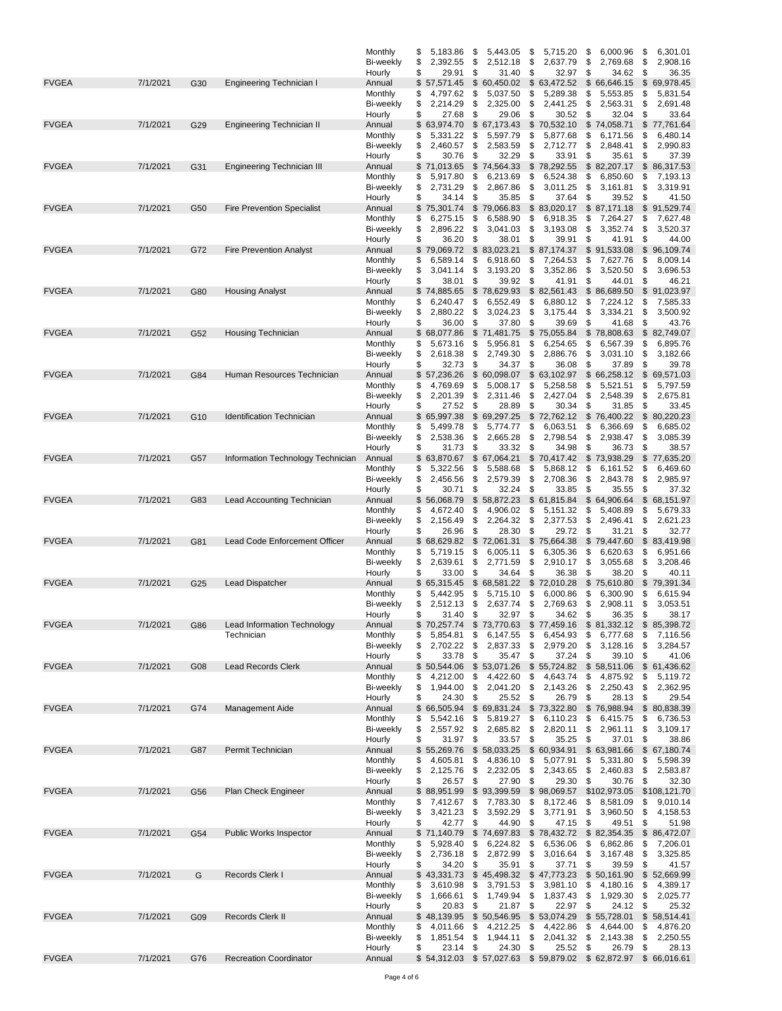|              |          |     |                                   | Monthly              | 5,183.86<br>\$                   | \$<br>5,443.05                                              | 5,715.20<br>\$                   | \$<br>6,000.96                   | \$<br>6,301.01                   |
|--------------|----------|-----|-----------------------------------|----------------------|----------------------------------|-------------------------------------------------------------|----------------------------------|----------------------------------|----------------------------------|
|              |          |     |                                   | <b>Bi-weekly</b>     | 2,392.55<br>\$                   | \$<br>2,512.18                                              | \$<br>2,637.79                   | \$<br>2,769.68                   | \$<br>2,908.16                   |
|              |          |     |                                   | Hourly               | \$<br>29.91                      | \$<br>31.40                                                 | \$<br>32.97                      | \$<br>34.62                      | \$<br>36.35                      |
| <b>FVGEA</b> | 7/1/2021 | G30 | Engineering Technician I          | Annual               | 57,571.45<br>\$                  | \$<br>60,450.02                                             | \$63,472.52                      | $\mathfrak{s}$<br>66,646.15      | 69,978.45<br>\$                  |
|              |          |     |                                   | Monthly              | 4,797.62<br>\$                   | \$<br>5,037.50                                              | \$<br>5,289.38                   | \$<br>5,553.85                   | 5,831.54<br>\$                   |
|              |          |     |                                   | <b>Bi-weekly</b>     | 2,214.29<br>\$                   | 2,325.00<br>\$                                              | 2,441.25<br>\$                   | \$<br>2,563.31                   | 2,691.48<br>\$                   |
|              |          |     |                                   | Hourly               | \$<br>27.68                      | \$<br>29.06                                                 | \$<br>30.52                      | \$<br>32.04                      | \$<br>33.64                      |
| <b>FVGEA</b> | 7/1/2021 | G29 | Engineering Technician II         | Annual               | 63,974.70<br>\$                  | 67,173.43<br>\$                                             | \$70,532.10                      | \$74,058.71                      | 77,761.64<br>\$                  |
|              |          |     |                                   | Monthly              | \$<br>5,331.22                   | \$<br>5,597.79                                              | \$<br>5,877.68                   | \$<br>6,171.56                   | 6,480.14<br>\$                   |
|              |          |     |                                   | Bi-weekly            | \$<br>2,460.57                   | \$<br>2,583.59                                              | \$<br>2,712.77                   | \$<br>2,848.41                   | \$<br>2,990.83                   |
|              |          |     |                                   | Hourly               | 30.76<br>\$                      | \$<br>32.29                                                 | 33.91<br>\$                      | \$<br>35.61                      | \$<br>37.39                      |
| <b>FVGEA</b> | 7/1/2021 | G31 | Engineering Technician III        | Annual               | 71,013.65<br>\$                  | \$<br>74,564.33                                             | \$78,292.55                      | \$82,207.17                      | 86,317.53<br>\$                  |
|              |          |     |                                   | Monthly              | 5,917.80<br>\$                   | \$<br>6,213.69                                              | \$<br>6,524.38                   | \$<br>6,850.60                   | 7,193.13<br>\$                   |
|              |          |     |                                   | Bi-weekly            | \$<br>2,731.29                   | \$<br>2,867.86                                              | \$<br>3,011.25                   | \$<br>3,161.81                   | \$<br>3,319.91                   |
|              |          |     |                                   | Hourly               | \$<br>34.14                      | \$<br>35.85                                                 | \$<br>37.64                      | \$<br>39.52                      | \$<br>41.50                      |
| <b>FVGEA</b> | 7/1/2021 | G50 | <b>Fire Prevention Specialist</b> | Annual               | 75,301.74<br>\$                  | \$<br>79,066.83                                             | \$83,020.17                      | \$87,171.18                      | \$91,529.74                      |
|              |          |     |                                   | Monthly              | \$<br>6,275.15                   | \$<br>6,588.90                                              | \$<br>6,918.35                   | \$<br>7,264.27                   | \$<br>7,627.48                   |
|              |          |     |                                   | Bi-weekly            | \$<br>2,896.22                   | \$<br>3,041.03                                              | \$<br>3,193.08                   | \$<br>3,352.74                   | \$<br>3,520.37                   |
|              |          |     |                                   | Hourly               | 36.20<br>\$                      | \$<br>38.01                                                 | \$<br>39.91                      | \$<br>41.91                      | \$<br>44.00                      |
| <b>FVGEA</b> | 7/1/2021 | G72 | <b>Fire Prevention Analyst</b>    | Annual               | 79,069.72<br>\$                  | \$<br>83,023.21                                             | \$87,174.37                      | \$91,533.08                      | \$<br>96,109.74                  |
|              |          |     |                                   | Monthly              | 6,589.14<br>\$                   | \$<br>6,918.60                                              | \$<br>7,264.53                   | \$<br>7,627.76                   | \$<br>8,009.14                   |
|              |          |     |                                   | Bi-weekly            | 3,041.14<br>\$                   | \$<br>3,193.20                                              | 3,352.86<br>\$                   | \$<br>3,520.50                   | 3,696.53<br>\$                   |
|              |          |     |                                   | Hourly               | 38.01<br>\$                      | 39.92<br>\$                                                 | 41.91<br>\$                      | 44.01<br>\$                      | 46.21<br>\$                      |
| <b>FVGEA</b> | 7/1/2021 | G80 | <b>Housing Analyst</b>            | Annual               | 74,885.65<br>\$                  | \$<br>78,629.93                                             | \$82,561.43                      | \$<br>86,689.50                  | \$<br>91,023.97                  |
|              |          |     |                                   | Monthly              | 6,240.47<br>\$                   | \$<br>6,552.49                                              | \$<br>6,880.12                   | \$<br>7,224.12                   | \$<br>7,585.33                   |
|              |          |     |                                   | <b>Bi-weekly</b>     | \$<br>2,880.22                   | \$<br>3,024.23                                              | \$<br>3,175.44                   | \$<br>3,334.21                   | \$<br>3,500.92                   |
|              |          |     |                                   | Hourly               | \$<br>36.00                      | \$<br>37.80                                                 | \$<br>39.69                      | 41.68<br>\$                      | \$<br>43.76                      |
| <b>FVGEA</b> | 7/1/2021 | G52 | <b>Housing Technician</b>         | Annual               | 68,077.86<br>\$                  | $\mathbb S$<br>71,481.75                                    | \$75,055.84                      | \$78,808.63                      | \$ 82,749.07                     |
|              |          |     |                                   | Monthly              | 5,673.16<br>\$                   | \$<br>5,956.81                                              | 6,254.65<br>\$                   | \$<br>6,567.39                   | 6,895.76<br>\$                   |
|              |          |     |                                   | <b>Bi-weekly</b>     | 2,618.38<br>\$                   | \$<br>2,749.30                                              | 2,886.76<br>\$                   | \$<br>3,031.10                   | 3,182.66<br>\$                   |
|              |          |     |                                   | Hourly               | 32.73<br>S                       | \$<br>34.37                                                 | 36.08<br>\$                      | \$<br>37.89                      | \$<br>39.78                      |
| <b>FVGEA</b> | 7/1/2021 | G84 | Human Resources Technician        | Annual               | \$<br>57,236.26                  | \$<br>60,098.07                                             | \$63,102.97                      | \$66,258.12                      | \$<br>69,571.03                  |
|              |          |     |                                   | Monthly              | 4,769.69<br>\$                   | \$<br>5,008.17                                              | 5,258.58<br>\$                   | \$<br>5,521.51                   | 5,797.59<br>\$                   |
|              |          |     |                                   | <b>Bi-weekly</b>     | \$<br>2,201.39                   | \$<br>2,311.46                                              | 2,427.04<br>\$                   | 2,548.39<br>\$                   | \$<br>2,675.81                   |
|              |          |     |                                   | Hourly               | 27.52<br>S                       | \$<br>28.89                                                 | \$<br>30.34                      | \$<br>31.85                      | \$<br>33.45                      |
| <b>FVGEA</b> | 7/1/2021 | G10 | <b>Identification Technician</b>  | Annual               | 65,997.38<br>\$                  | \$<br>69,297.25                                             | \$72,762.12                      | \$<br>76,400.22                  | 80,220.23<br>\$                  |
|              |          |     |                                   | Monthly              | 5,499.78<br>\$                   | \$<br>5,774.77                                              | 6,063.51<br>\$                   | \$<br>6,366.69                   | \$<br>6,685.02                   |
|              |          |     |                                   | <b>Bi-weekly</b>     | 2,538.36<br>\$                   | \$<br>2,665.28                                              | \$<br>2,798.54                   | \$<br>2,938.47                   | \$<br>3,085.39                   |
| <b>FVGEA</b> | 7/1/2021 |     |                                   | Hourly               | \$<br>31.73<br>63,870.67<br>\$   | \$<br>33.32<br>\$<br>67,064.21                              | \$<br>34.98<br>70,417.42<br>\$   | \$<br>36.73<br>\$73,938.29       | \$<br>38.57<br>77,635.20         |
|              |          | G57 | Information Technology Technician | Annual               | 5,322.56                         | \$<br>5,588.68                                              | \$                               | \$<br>6,161.52                   | \$                               |
|              |          |     |                                   | Monthly              | \$                               |                                                             | 5,868.12                         |                                  | 6,469.60<br>\$                   |
|              |          |     |                                   | <b>Bi-weekly</b>     | \$<br>2,456.56<br>\$<br>30.71    | \$<br>2,579.39<br>\$<br>32.24                               | \$<br>2,708.36<br>\$             | \$<br>2,843.78<br>\$<br>35.55    | \$<br>2,985.97<br>\$<br>37.32    |
| <b>FVGEA</b> | 7/1/2021 | G83 | Lead Accounting Technician        | Hourly<br>Annual     | 56,068.79<br>\$                  | 58,872.23<br>\$                                             | 33.85<br>\$61,815.84             | \$ 64,906.64                     | \$68,151.97                      |
|              |          |     |                                   | Monthly              | 4,672.40<br>\$                   | \$<br>4,906.02                                              | 5,151.32<br>\$                   | \$<br>5,408.89                   | 5,679.33<br>\$                   |
|              |          |     |                                   | Bi-weekly            | 2,156.49<br>\$                   | \$<br>2,264.32                                              | 2,377.53<br>\$                   | \$<br>2,496.41                   | \$<br>2,621.23                   |
|              |          |     |                                   | Hourly               | 26.96<br>\$                      | \$<br>28.30                                                 | 29.72<br>\$                      | \$<br>31.21                      | 32.77<br>\$                      |
| <b>FVGEA</b> | 7/1/2021 | G81 | Lead Code Enforcement Officer     | Annual               | 68,629.82<br>\$                  | \$<br>72,061.31                                             | 75,664.38<br>\$                  | \$<br>79,447.60                  | 83,419.98<br>\$                  |
|              |          |     |                                   | Monthly              | 5,719.15<br>\$                   | \$<br>6,005.11                                              | \$<br>6,305.36                   | \$<br>6,620.63                   | 6,951.66<br>\$                   |
|              |          |     |                                   | Bi-weekly            | \$<br>2,639.61                   | \$<br>2,771.59                                              | \$<br>2,910.17                   | \$<br>3,055.68                   | 3,208.46<br>\$                   |
|              |          |     |                                   | Hourly               | 33.00<br>\$                      | \$<br>34.64                                                 | \$<br>36.38                      | \$<br>38.20                      | \$<br>40.11                      |
| <b>FVGEA</b> | 7/1/2021 | G25 | Lead Dispatcher                   | Annual               | 65,315.45<br>\$                  | \$<br>68,581.22                                             | \$<br>72,010.28                  | 75,610.80<br>\$                  | 79,391.34<br>\$                  |
|              |          |     |                                   | Monthly              | 5,442.95<br>\$                   | \$<br>5,715.10                                              | \$<br>6,000.86                   | \$<br>6,300.90                   | \$<br>6,615.94                   |
|              |          |     |                                   | <b>Bi-weekly</b>     | \$<br>2,512.13                   | \$<br>2,637.74                                              | \$<br>2,769.63                   | \$<br>2,908.11                   | \$<br>3,053.51                   |
|              |          |     |                                   | Hourly               | 31.40<br>S                       | \$<br>32.97                                                 | \$<br>34.62                      | \$<br>36.35                      | \$<br>38.17                      |
| <b>FVGEA</b> | 7/1/2021 | G86 | Lead Information Technology       | Annual               | \$70,257.74                      | \$73,770.63                                                 | \$77,459.16                      | \$81,332.12                      | \$85,398.72                      |
|              |          |     | Technician                        | Monthly              | 5,854.81<br>\$                   | \$<br>6,147.55                                              | \$<br>6,454.93                   | \$<br>6,777.68                   | \$<br>7,116.56                   |
|              |          |     |                                   | Bi-weekly            | 2,702.22 \$<br>\$                | 2,837.33                                                    | 2,979.20<br>\$                   | 3,128.16<br>\$                   | 3,284.57<br>\$                   |
|              |          |     |                                   | Hourly               | 33.78<br>\$                      | \$<br>35.47                                                 | 37.24<br>\$<br>\$                | 39.10                            | 41.06<br>\$                      |
| <b>FVGEA</b> | 7/1/2021 | G08 | <b>Lead Records Clerk</b>         | Annual               | 50,544.06<br>\$                  | \$<br>53,071.26                                             | \$55,724.82                      | \$58,511.06                      | \$61,436.62                      |
|              |          |     |                                   | Monthly              | 4,212.00<br>\$                   | 4,422.60<br>\$                                              | 4,643.74<br>\$                   | \$<br>4,875.92                   | \$<br>5,119.72                   |
|              |          |     |                                   | Bi-weekly            | 1,944.00<br>\$                   | \$<br>2,041.20                                              | 2,143.26<br>\$                   | 2,250.43<br>\$                   | 2,362.95<br>\$                   |
|              |          |     |                                   | Hourly               | \$<br>24.30                      | 25.52<br>\$                                                 | 26.79<br>\$                      | 28.13<br>\$                      | \$<br>29.54                      |
| <b>FVGEA</b> | 7/1/2021 | G74 | Management Aide                   | Annual               | \$                               | 66,505.94 \$69,831.24                                       | \$73,322.80                      | \$76,988.94                      | \$80,838.39                      |
|              |          |     |                                   | Monthly              | 5,542.16<br>\$                   | \$<br>5,819.27                                              | 6,110.23<br>\$                   | \$<br>6,415.75                   | 6,736.53<br>\$                   |
|              |          |     |                                   | Bi-weekly            | 2,557.92 \$<br>\$                | 2,685.82                                                    | 2,820.11<br>\$                   | 2,961.11<br>\$                   | 3,109.17<br>\$                   |
|              |          |     |                                   | Hourly               | 31.97<br>S                       | \$<br>33.57                                                 | \$<br>35.25                      | \$<br>37.01                      | \$<br>38.86                      |
| <b>FVGEA</b> | 7/1/2021 | G87 | Permit Technician                 | Annual               | 55,269.76<br>\$                  | \$58,033.25                                                 | \$60,934.91                      | \$63,981.66                      | \$ 67,180.74                     |
|              |          |     |                                   | Monthly              | 4,605.81<br>\$                   | 4,836.10<br>\$                                              | \$<br>5,077.91                   | 5,331.80<br>\$                   | 5,598.39<br>\$                   |
|              |          |     |                                   | Bi-weekly            | 2,125.76<br>\$                   | \$<br>2,232.05                                              | 2,343.65<br>\$                   | \$<br>2,460.83                   | 2,583.87<br>\$                   |
|              |          |     |                                   | Hourly               | \$<br>26.57                      | \$<br>27.90                                                 | \$<br>29.30                      | \$<br>30.76                      | \$<br>32.30                      |
| <b>FVGEA</b> | 7/1/2021 | G56 | Plan Check Engineer               | Annual               | \$88,951.99                      | \$93,399.59                                                 | \$98,069.57                      | \$102,973.05                     | \$108,121.70                     |
|              |          |     |                                   | Monthly              | 7,412.67<br>\$                   | \$<br>7,783.30                                              | \$<br>8,172.46                   | \$<br>8,581.09                   | 9,010.14<br>\$                   |
|              |          |     |                                   | Bi-weekly            | 3,421.23<br>\$                   | \$<br>3,592.29                                              | 3,771.91<br>\$                   | \$<br>3,960.50                   | 4,158.53<br>\$                   |
|              |          |     |                                   | Hourly               | \$<br>42.77                      | \$<br>44.90                                                 | \$<br>47.15                      | \$<br>49.51                      | \$<br>51.98                      |
| <b>FVGEA</b> | 7/1/2021 | G54 | Public Works Inspector            | Annual               | 71,140.79<br>\$                  | \$74,697.83                                                 | \$78,432.72                      | \$82,354.35                      | \$ 86,472.07                     |
|              |          |     |                                   | Monthly              | 5,928.40<br>\$                   | \$<br>6,224.82                                              | \$<br>6,536.06                   | \$<br>6,862.86                   | 7,206.01<br>\$                   |
|              |          |     |                                   | Bi-weekly            | 2,736.18<br>\$                   | 2,872.99<br>\$                                              | 3,016.64<br>\$                   | \$<br>3,167.48                   | \$<br>3,325.85                   |
|              |          |     |                                   | Hourly               | \$<br>34.20                      | 35.91<br>-\$                                                | 37.71<br>\$                      | 39.59<br>\$                      | \$<br>41.57                      |
| <b>FVGEA</b> | 7/1/2021 | G   | Records Clerk I                   | Annual               | \$43,331.73                      | \$45,498.32                                                 | \$47,773.23                      | \$50,161.90                      | \$52,669.99                      |
|              |          |     |                                   | Monthly              | \$<br>3,610.98                   | \$<br>3,791.53                                              | \$<br>3,981.10                   | \$<br>4,180.16                   | \$<br>4,389.17                   |
|              |          |     |                                   | Bi-weekly            | 1,666.61<br>\$                   | 1,749.94<br>\$                                              | 1,837.43<br>\$                   | \$<br>1,929.30                   | 2,025.77<br>\$                   |
|              |          |     |                                   | Hourly               | \$<br>20.83                      | \$<br>21.87                                                 | 22.97<br>\$                      | 24.12<br>\$                      | \$<br>25.32                      |
| <b>FVGEA</b> | 7/1/2021 | G09 | Records Clerk II                  | Annual               | \$<br>48,139.95                  | \$50,546.95                                                 | \$53,074.29                      | \$55,728.01                      | 58,514.41<br>\$                  |
|              |          |     |                                   | Monthly<br>Bi-weekly | 4,011.66<br>\$<br>1,851.54<br>\$ | \$<br>4,212.25<br>1,944.11<br>\$                            | \$<br>4,422.86<br>\$<br>2,041.32 | \$<br>4,644.00<br>\$<br>2,143.38 | 4,876.20<br>\$<br>\$<br>2,250.55 |
|              |          |     |                                   | Hourly               | 23.14<br>\$                      | \$<br>24.30                                                 | 25.52<br>\$                      | \$<br>26.79                      | \$<br>28.13                      |
| <b>FVGEA</b> | 7/1/2021 | G76 | <b>Recreation Coordinator</b>     | Annual               |                                  | \$54,312.03 \$57,027.63 \$59,879.02 \$62,872.97 \$66,016.61 |                                  |                                  |                                  |
|              |          |     |                                   |                      |                                  |                                                             |                                  |                                  |                                  |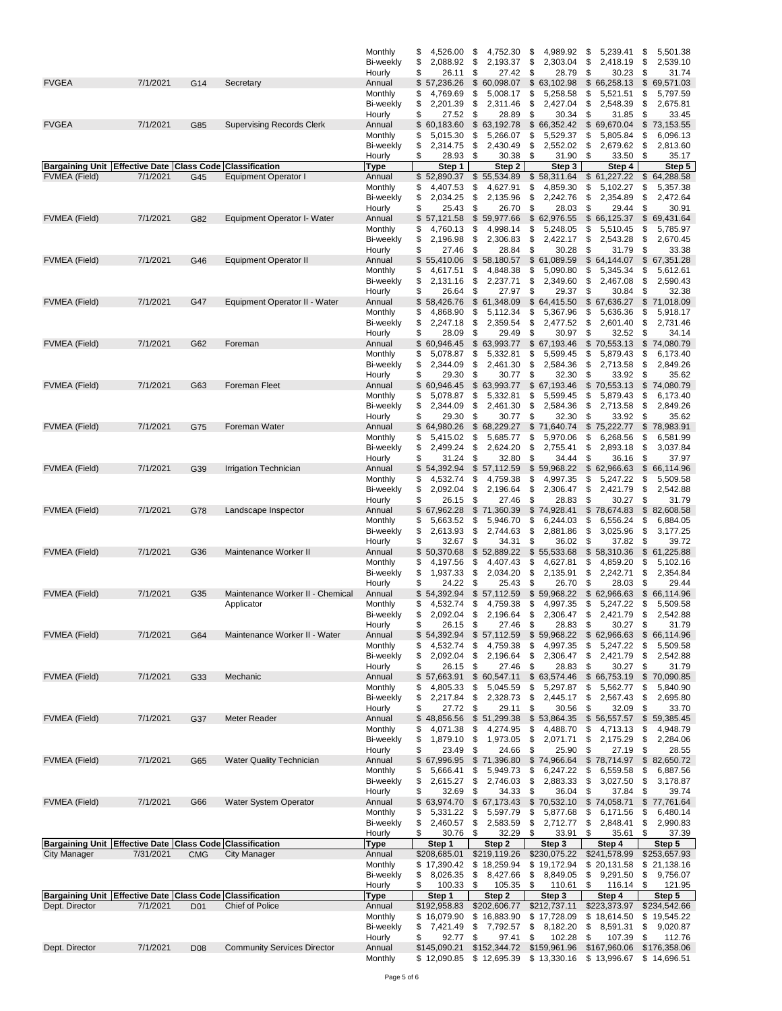|                                                                |           |                   |                                    | Monthly                     | \$<br>4,526.00                    | \$<br>4,752.30                    | \$<br>4,989.92                                              | \$<br>5,239.41                     | \$<br>5,501.38                    |
|----------------------------------------------------------------|-----------|-------------------|------------------------------------|-----------------------------|-----------------------------------|-----------------------------------|-------------------------------------------------------------|------------------------------------|-----------------------------------|
|                                                                |           |                   |                                    | Bi-weekly                   | \$<br>2,088.92<br>\$<br>26.11     | \$<br>2,193.37<br>\$<br>27.42     | \$<br>2,303.04<br>\$<br>28.79                               | \$<br>2,418.19<br>\$<br>30.23      | \$<br>2,539.10<br>\$<br>31.74     |
| <b>FVGEA</b>                                                   | 7/1/2021  | G14               | Secretary                          | Hourly<br>Annual            | \$57,236.26                       | \$<br>60,098.07                   | \$63,102.98                                                 | \$<br>66,258.13                    | \$<br>69,571.03                   |
|                                                                |           |                   |                                    | Monthly                     | 4,769.69<br>\$                    | \$<br>5,008.17                    | \$<br>5,258.58                                              | \$<br>5,521.51                     | \$<br>5,797.59                    |
|                                                                |           |                   |                                    | <b>Bi-weekly</b>            | \$<br>2,201.39                    | \$<br>2,311.46                    | \$<br>2,427.04                                              | \$<br>2,548.39                     | \$<br>2,675.81                    |
| <b>FVGEA</b>                                                   | 7/1/2021  | G85               | <b>Supervising Records Clerk</b>   | Hourly<br>Annual            | \$<br>27.52<br>\$60,183.60        | \$<br>28.89<br>\$63,192.78        | \$<br>30.34<br>\$66,352.42                                  | \$<br>31.85<br>\$<br>69,670.04     | \$<br>33.45<br>\$<br>73,153.55    |
|                                                                |           |                   |                                    | Monthly                     | \$<br>5,015.30                    | \$<br>5,266.07                    | \$<br>5,529.37                                              | \$<br>5,805.84                     | \$<br>6,096.13                    |
|                                                                |           |                   |                                    | Bi-weekly                   | \$<br>2,314.75                    | \$<br>2,430.49                    | \$<br>2,552.02                                              | \$<br>2,679.62                     | \$<br>2,813.60                    |
| <b>Bargaining Unit Effective Date</b>                          |           | <b>Class Code</b> | <b>Classification</b>              | Hourly<br>Type              | \$<br>28.93<br>Step 1             | \$<br>30.38<br>Step 2             | \$<br>31.90<br>Step 3                                       | \$<br>33.50<br>Step 4              | \$<br>35.17<br>Step 5             |
| FVMEA (Field)                                                  | 7/1/2021  | G45               | <b>Equipment Operator I</b>        | Annual                      | \$52,890.37                       | 55,534.89<br>\$                   | 58,311.64<br>\$                                             | \$<br>61,227.22                    | 64,288.58<br>\$                   |
|                                                                |           |                   |                                    | Monthly                     | \$<br>4,407.53                    | \$<br>4,627.91                    | \$<br>4,859.30                                              | \$<br>5,102.27                     | \$<br>5,357.38                    |
|                                                                |           |                   |                                    | Bi-weekly                   | \$<br>2,034.25<br>\$<br>25.43     | \$<br>2,135.96<br>\$<br>26.70     | \$<br>2,242.76<br>\$<br>28.03                               | \$<br>2,354.89<br>\$<br>29.44      | \$<br>2,472.64<br>\$<br>30.91     |
| <b>FVMEA</b> (Field)                                           | 7/1/2021  | G82               | Equipment Operator I- Water        | Hourly<br>Annual            | \$<br>57,121.58                   | \$<br>59,977.66                   | \$62,976.55                                                 | \$<br>66,125.37                    | \$<br>69,431.64                   |
|                                                                |           |                   |                                    | Monthly                     | \$<br>4,760.13                    | \$<br>4,998.14                    | \$<br>5,248.05                                              | \$<br>5,510.45                     | \$<br>5,785.97                    |
|                                                                |           |                   |                                    | Bi-weekly                   | \$<br>2,196.98                    | \$<br>2,306.83                    | \$<br>2,422.17                                              | \$<br>2,543.28                     | \$<br>2,670.45                    |
|                                                                | 7/1/2021  |                   |                                    | Hourly                      | 27.46<br>\$<br>\$<br>55,410.06    | \$<br>28.84<br>\$<br>58,180.57    | \$<br>30.28<br>\$61,089.59                                  | \$<br>31.79<br>\$<br>64,144.07     | \$<br>33.38<br>\$<br>67,351.28    |
| FVMEA (Field)                                                  |           | G46               | <b>Equipment Operator II</b>       | Annual<br>Monthly           | \$<br>4,617.51                    | \$<br>4,848.38                    | \$<br>5,090.80                                              | \$<br>5,345.34                     | \$<br>5,612.61                    |
|                                                                |           |                   |                                    | Bi-weekly                   | \$<br>2,131.16                    | \$<br>2,237.71                    | \$<br>2,349.60                                              | \$<br>2,467.08                     | \$<br>2,590.43                    |
|                                                                |           |                   |                                    | Hourly                      | \$<br>26.64                       | \$<br>27.97                       | \$<br>29.37                                                 | \$<br>30.84                        | \$<br>32.38                       |
| <b>FVMEA</b> (Field)                                           | 7/1/2021  | G47               | Equipment Operator II - Water      | Annual                      | 58,426.76<br>\$<br>4,868.90       | \$61,348.09<br>5,112.34           | \$64,415.50<br>\$<br>5,367.96                               | \$67,636.27                        | \$<br>71,018.09                   |
|                                                                |           |                   |                                    | Monthly<br>Bi-weekly        | \$<br>\$<br>2,247.18              | \$<br>\$<br>2,359.54              | \$<br>2,477.52                                              | 5,636.36<br>\$<br>\$<br>2,601.40   | \$<br>5,918.17<br>\$<br>2,731.46  |
|                                                                |           |                   |                                    | Hourly                      | \$<br>28.09                       | \$<br>29.49                       | \$<br>30.97                                                 | \$<br>32.52                        | \$<br>34.14                       |
| <b>FVMEA</b> (Field)                                           | 7/1/2021  | G62               | Foreman                            | Annual                      | \$<br>60,946.45                   | 63,993.77<br>\$                   | \$67,193.46                                                 | 70,553.13<br>\$                    | \$<br>74,080.79                   |
|                                                                |           |                   |                                    | Monthly<br><b>Bi-weekly</b> | 5,078.87<br>\$<br>\$<br>2,344.09  | \$<br>5,332.81<br>\$<br>2,461.30  | \$<br>5,599.45<br>\$<br>2,584.36                            | \$<br>5,879.43<br>2,713.58         | \$<br>6,173.40<br>2,849.26        |
|                                                                |           |                   |                                    | Hourly                      | \$<br>29.30                       | \$<br>30.77                       | \$<br>32.30                                                 | \$<br>\$<br>33.92                  | \$<br>\$<br>35.62                 |
| <b>FVMEA</b> (Field)                                           | 7/1/2021  | G63               | <b>Foreman Fleet</b>               | Annual                      | \$60,946.45                       | \$<br>63,993.77                   | \$67,193.46                                                 | 70,553.13<br>\$                    | \$<br>74,080.79                   |
|                                                                |           |                   |                                    | Monthly                     | \$<br>5,078.87                    | \$<br>5,332.81                    | \$<br>5,599.45                                              | \$<br>5,879.43                     | \$<br>6,173.40                    |
|                                                                |           |                   |                                    | Bi-weekly                   | \$<br>2,344.09<br>\$<br>29.30     | \$<br>2,461.30<br>\$<br>30.77     | \$<br>2,584.36<br>\$<br>32.30                               | \$<br>2,713.58<br>\$<br>33.92      | \$<br>2,849.26<br>\$<br>35.62     |
| <b>FVMEA</b> (Field)                                           | 7/1/2021  | G75               | Foreman Water                      | Hourly<br>Annual            | \$64,980.26                       | \$<br>68,229.27                   | \$<br>71,640.74                                             | \$<br>75,222.77                    | \$<br>78,983.91                   |
|                                                                |           |                   |                                    | Monthly                     | 5,415.02<br>\$                    | \$<br>5,685.77                    | \$<br>5,970.06                                              | \$<br>6,268.56                     | \$<br>6,581.99                    |
|                                                                |           |                   |                                    | Bi-weekly                   | \$<br>2,499.24                    | \$<br>2,624.20                    | \$<br>2,755.41                                              | \$<br>2,893.18                     | \$<br>3,037.84                    |
|                                                                | 7/1/2021  | G39               |                                    | Hourly                      | \$<br>31.24<br>\$54,392.94        | \$<br>32.80<br>\$<br>57,112.59    | \$<br>34.44<br>\$                                           | 36.16<br>\$<br>\$                  | \$<br>37.97<br>\$<br>66,114.96    |
| <b>FVMEA</b> (Field)                                           |           |                   | Irrigation Technician              | Annual<br>Monthly           | \$<br>4,532.74                    | \$<br>4,759.38                    | 59,968.22<br>\$<br>4,997.35                                 | 62,966.63<br>\$<br>5,247.22        | \$<br>5,509.58                    |
|                                                                |           |                   |                                    | Bi-weekly                   | \$<br>2,092.04                    | \$<br>2,196.64                    | \$<br>2,306.47                                              | \$<br>2,421.79                     | \$<br>2,542.88                    |
|                                                                |           |                   |                                    | Hourly                      | \$<br>26.15                       | \$<br>27.46                       | \$<br>28.83                                                 | \$<br>30.27                        | \$<br>31.79                       |
| <b>FVMEA</b> (Field)                                           | 7/1/2021  | G78               | Landscape Inspector                | Annual                      | \$<br>67,962.28<br>\$<br>5,663.52 | \$<br>71,360.39<br>\$<br>5,946.70 | \$<br>74,928.41<br>\$<br>6,244.03                           | \$<br>78,674.83<br>\$<br>6,556.24  | \$<br>82,608.58<br>\$<br>6,884.05 |
|                                                                |           |                   |                                    | Monthly<br>Bi-weekly        | \$<br>2,613.93                    | \$<br>2,744.63                    | \$<br>2,881.86                                              | \$<br>3,025.96                     | \$<br>3,177.25                    |
|                                                                |           |                   |                                    | Hourly                      | 32.67<br>\$                       | 34.31<br>\$                       | \$<br>36.02                                                 | \$<br>37.82                        | \$<br>39.72                       |
| <b>FVMEA</b> (Field)                                           | 7/1/2021  | G36               | Maintenance Worker II              | Annual                      | \$<br>50,370.68                   | \$<br>52,889.22                   | \$<br>55,533.68                                             | \$<br>58,310.36                    | \$<br>61,225.88                   |
|                                                                |           |                   |                                    | Monthly<br>Bi-weekly        | \$<br>4,197.56<br>\$<br>1,937.33  | \$<br>4,407.43<br>\$<br>2,034.20  | \$<br>4,627.81<br>\$<br>2,135.91                            | \$<br>4,859.20<br>\$<br>2,242.71   | \$<br>5,102.16<br>\$<br>2,354.84  |
|                                                                |           |                   |                                    | Hourly                      | \$<br>24.22                       | \$<br>25.43                       | \$<br>26.70                                                 | \$<br>28.03                        | \$<br>29.44                       |
| <b>FVMEA</b> (Field)                                           | 7/1/2021  | G35               | Maintenance Worker II - Chemical   | Annual                      | \$<br>54,392.94                   | \$<br>57,112.59                   | \$59,968.22                                                 | \$<br>62,966.63                    | \$<br>66,114.96                   |
|                                                                |           |                   | Applicator                         | Monthly                     | 4,532.74<br>\$                    | \$<br>4,759.38                    | \$<br>4,997.35                                              | \$<br>5,247.22                     | 5,509.58<br>\$                    |
|                                                                |           |                   |                                    | Bi-weekly<br>Hourly         | \$<br>2,092.04<br>\$<br>26.15     | \$<br>2,196.64<br>\$<br>27.46     | \$<br>2,306.47<br>\$<br>28.83                               | \$<br>2,421.79<br>\$<br>$30.27$ \$ | \$<br>2,542.88<br>31.79           |
| <b>FVMEA</b> (Field)                                           | 7/1/2021  | G64               | Maintenance Worker II - Water      | Annual                      | \$<br>54,392.94                   | \$<br>57,112.59                   | \$59,968.22                                                 | \$<br>62,966.63                    | \$<br>66,114.96                   |
|                                                                |           |                   |                                    | Monthly                     | 4,532.74<br>\$                    | 4,759.38<br>\$                    | \$<br>4,997.35                                              | 5,247.22<br>\$                     | 5,509.58<br>\$                    |
|                                                                |           |                   |                                    | Bi-weekly                   | \$<br>2,092.04                    | \$<br>2,196.64                    | \$<br>2,306.47<br>\$                                        | \$<br>2,421.79                     | \$<br>2,542.88<br>\$              |
| <b>FVMEA</b> (Field)                                           | 7/1/2021  | G33               | Mechanic                           | Hourly<br>Annual            | \$<br>26.15<br>\$57,663.91        | \$<br>27.46<br>\$60,547.11        | 28.83<br>\$63,574.46                                        | \$<br>30.27<br>\$66,753.19         | 31.79<br>70,090.85<br>\$          |
|                                                                |           |                   |                                    | Monthly                     | \$<br>4,805.33                    | \$<br>5,045.59                    | \$<br>5,297.87                                              | \$<br>5,562.77                     | \$<br>5,840.90                    |
|                                                                |           |                   |                                    | Bi-weekly                   | 2,217.84<br>\$                    | \$<br>2,328.73                    | \$<br>2,445.17                                              | \$<br>2,567.43                     | \$<br>2,695.80                    |
| <b>FVMEA</b> (Field)                                           | 7/1/2021  | G37               | Meter Reader                       | Hourly<br>Annual            | \$<br>27.72<br>\$48,856.56        | \$<br>29.11<br>\$51,299.38        | \$<br>30.56<br>\$53,864.35                                  | \$<br>32.09<br>\$<br>56,557.57     | \$<br>33.70<br>\$<br>59,385.45    |
|                                                                |           |                   |                                    | Monthly                     | 4,071.38<br>\$                    | \$<br>4,274.95                    | \$<br>4,488.70                                              | \$<br>4,713.13                     | 4,948.79<br>\$                    |
|                                                                |           |                   |                                    | Bi-weekly                   | \$<br>1,879.10                    | \$<br>1,973.05                    | \$<br>2,071.71                                              | \$<br>2,175.29                     | \$<br>2,284.06                    |
|                                                                |           |                   |                                    | Hourly                      | 23.49<br>\$                       | \$<br>24.66                       | \$<br>25.90                                                 | \$<br>27.19                        | \$<br>28.55                       |
| <b>FVMEA</b> (Field)                                           | 7/1/2021  | G65               | <b>Water Quality Technician</b>    | Annual                      | \$67,996.95                       | \$71,396.80                       | \$74,966.64                                                 | \$78,714.97<br>\$                  | \$82,650.72<br>6,887.56           |
|                                                                |           |                   |                                    | Monthly<br>Bi-weekly        | 5,666.41<br>\$<br>\$<br>2,615.27  | \$<br>5,949.73<br>\$<br>2,746.03  | \$<br>6,247.22<br>\$<br>2,883.33                            | 6,559.58<br>\$<br>3,027.50         | \$<br>\$<br>3,178.87              |
|                                                                |           |                   |                                    | Hourly                      | \$<br>32.69                       | \$<br>34.33                       | \$<br>36.04                                                 | \$<br>37.84                        | \$<br>39.74                       |
| <b>FVMEA</b> (Field)                                           | 7/1/2021  | G66               | <b>Water System Operator</b>       | Annual                      | \$63,974.70                       | \$67,173.43                       | \$70,532.10                                                 | \$<br>74,058.71                    | \$<br>77,761.64                   |
|                                                                |           |                   |                                    | Monthly                     | 5,331.22<br>\$                    | \$<br>5,597.79                    | \$<br>5,877.68                                              | 6,171.56<br>\$                     | 6,480.14<br>\$                    |
|                                                                |           |                   |                                    | Bi-weekly<br>Hourly         | \$<br>2,460.57<br>\$<br>30.76     | \$<br>2,583.59<br>\$<br>32.29     | \$<br>2,712.77<br>\$<br>33.91                               | \$<br>2,848.41<br>\$<br>35.61      | \$<br>2,990.83<br>\$<br>37.39     |
| Bargaining Unit Effective Date Class Code Classification       |           |                   |                                    | <b>Type</b>                 | Step 1                            | Step 2                            | Step 3                                                      | Step 4                             | Step 5                            |
| <b>City Manager</b>                                            | 7/31/2021 | <b>CMG</b>        | <b>City Manager</b>                | Annual                      | \$208,685.01                      | \$219,119.26                      | \$230,075.22                                                | \$241,578.99                       | \$253,657.93                      |
|                                                                |           |                   |                                    | Monthly<br>Bi-weekly        | \$17,390.42<br>\$<br>8,026.35     | \$18,259.94<br>\$<br>8,427.66     | \$19,172.94<br>\$<br>8,849.05                               | \$20,131.58<br>\$<br>9,291.50      | \$21,138.16<br>\$<br>9,756.07     |
|                                                                |           |                   |                                    | Hourly                      | \$<br>100.33                      | \$<br>105.35                      | \$<br>110.61                                                | \$<br>116.14                       | \$<br>121.95                      |
| Bargaining Unit   Effective Date   Class Code   Classification |           |                   |                                    | Type                        | Step 1                            | Step 2                            | Step 3                                                      | Step 4                             | Step 5                            |
| Dept. Director                                                 | 7/1/2021  | D <sub>01</sub>   | Chief of Police                    | Annual                      | \$192,958.83                      | \$202,606.77                      | \$212,737.11                                                | \$223,373.97                       | \$234,542.66                      |
|                                                                |           |                   |                                    | Monthly<br>Bi-weekly        | \$16,079.90<br>7,421.49<br>\$     | \$16,883.90<br>\$<br>7,792.57     | \$17,728.09<br>\$<br>8,182.20                               | \$18,614.50<br>\$<br>8,591.31      | \$19,545.22<br>\$<br>9,020.87     |
|                                                                |           |                   |                                    | Hourly                      | \$<br>92.77                       | \$<br>97.41                       | \$<br>102.28                                                | \$<br>107.39                       | \$<br>112.76                      |
| Dept. Director                                                 | 7/1/2021  | D <sub>08</sub>   | <b>Community Services Director</b> | Annual                      | \$145,090.21                      | \$152,344.72                      | \$159,961.96                                                | \$167,960.06 \$176,358.06          |                                   |
|                                                                |           |                   |                                    | Monthly                     |                                   |                                   | \$12,090.85 \$12,695.39 \$13,330.16 \$13,996.67 \$14,696.51 |                                    |                                   |